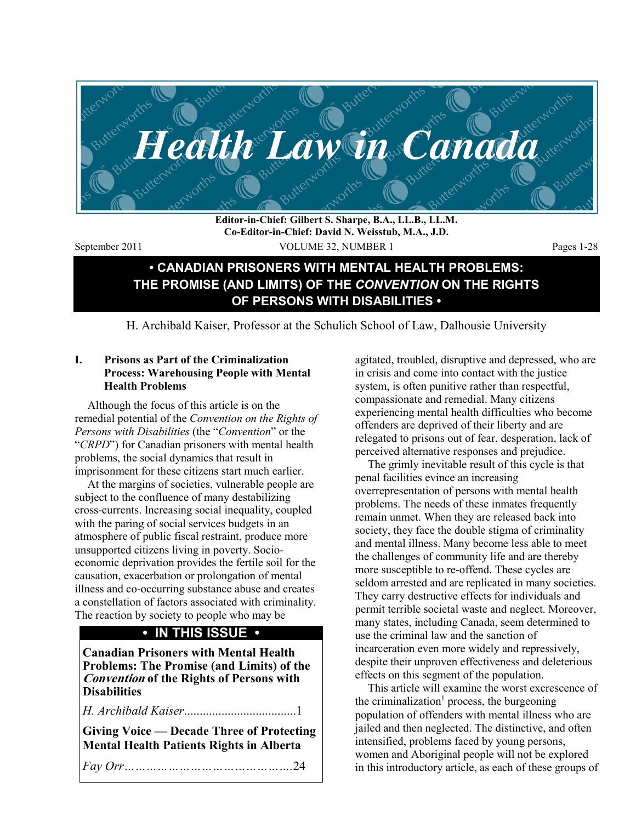

**Editor-in-Chief: Gilbert S. Sharpe, B.A., LL.B., LL.M. Co-Editor-in-Chief: David N. Weisstub, M.A., J.D.** 

September 2011 VOLUME 32, NUMBER 1 Pages 1-28

# **• CANADIAN PRISONERS WITH MENTAL HEALTH PROBLEMS: THE PROMISE (AND LIMITS) OF THE** *CONVENTION* **ON THE RIGHTS OF PERSONS WITH DISABILITIES •**

H. Archibald Kaiser, Professor at the Schulich School of Law, Dalhousie University

### **I. Prisons as Part of the Criminalization Process: Warehousing People with Mental Health Problems**

Although the focus of this article is on the remedial potential of the *Convention on the Rights of Persons with Disabilities* (the "*Convention*" or the "*CRPD*") for Canadian prisoners with mental health problems, the social dynamics that result in imprisonment for these citizens start much earlier.

At the margins of societies, vulnerable people are subject to the confluence of many destabilizing cross-currents. Increasing social inequality, coupled with the paring of social services budgets in an atmosphere of public fiscal restraint, produce more unsupported citizens living in poverty. Socioeconomic deprivation provides the fertile soil for the causation, exacerbation or prolongation of mental illness and co-occurring substance abuse and creates a constellation of factors associated with criminality. The reaction by society to people who may be

# **• IN THIS ISSUE •**

**Canadian Prisoners with Mental Health Problems: The Promise (and Limits) of the Convention of the Rights of Persons with Disabilities** 

*H. Archibald Kaiser*....................................1

**Giving Voice — Decade Three of Protecting Mental Health Patients Rights in Alberta** 

*Fay Orr……………………………………….*24

agitated, troubled, disruptive and depressed, who are in crisis and come into contact with the justice system, is often punitive rather than respectful, compassionate and remedial. Many citizens experiencing mental health difficulties who become offenders are deprived of their liberty and are relegated to prisons out of fear, desperation, lack of perceived alternative responses and prejudice.

The grimly inevitable result of this cycle is that penal facilities evince an increasing overrepresentation of persons with mental health problems. The needs of these inmates frequently remain unmet. When they are released back into society, they face the double stigma of criminality and mental illness. Many become less able to meet the challenges of community life and are thereby more susceptible to re-offend. These cycles are seldom arrested and are replicated in many societies. They carry destructive effects for individuals and permit terrible societal waste and neglect. Moreover, many states, including Canada, seem determined to use the criminal law and the sanction of incarceration even more widely and repressively, despite their unproven effectiveness and deleterious effects on this segment of the population.

This article will examine the worst excrescence of the criminalization<sup>1</sup> process, the burgeoning population of offenders with mental illness who are jailed and then neglected. The distinctive, and often intensified, problems faced by young persons, women and Aboriginal people will not be explored in this introductory article, as each of these groups of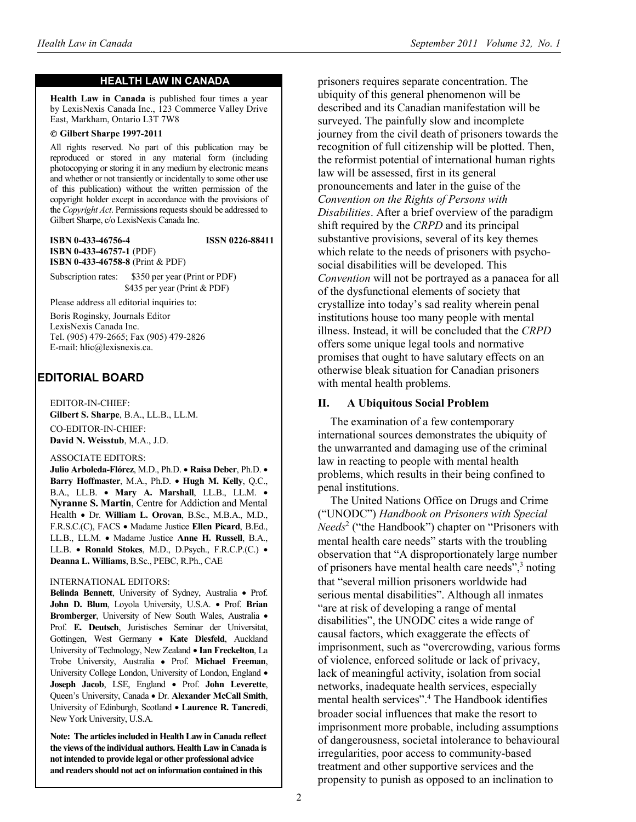#### **HEALTH LAW IN CANADA**

**Health Law in Canada** is published four times a year by LexisNexis Canada Inc., 123 Commerce Valley Drive East, Markham, Ontario L3T 7W8

#### © **Gilbert Sharpe 1997-2011**

All rights reserved. No part of this publication may be reproduced or stored in any material form (including photocopying or storing it in any medium by electronic means and whether or not transiently or incidentally to some other use of this publication) without the written permission of the copyright holder except in accordance with the provisions of the *Copyright Act*. Permissions requests should be addressed to Gilbert Sharpe, c/o LexisNexis Canada Inc.

**ISBN 0-433-46756-4 ISSN 0226-88411 ISBN 0-433-46757-1** (PDF) **ISBN 0-433-46758-8** (Print & PDF)

Subscription rates: \$350 per year (Print or PDF) \$435 per year (Print & PDF)

Please address all editorial inquiries to:

Boris Roginsky, Journals Editor LexisNexis Canada Inc. Tel. (905) 479-2665; Fax (905) 479-2826 E-mail: hlic@lexisnexis.ca.

# **EDITORIAL BOARD**

EDITOR-IN-CHIEF: **Gilbert S. Sharpe**, B.A., LL.B., LL.M. CO-EDITOR-IN-CHIEF: **David N. Weisstub**, M.A., J.D.

#### ASSOCIATE EDITORS:

**Julio Arboleda-Flórez**, M.D., Ph.D. • **Raisa Deber**, Ph.D. • **Barry Hoffmaster**, M.A., Ph.D. • **Hugh M. Kelly**, Q.C., B.A., LL.B. • **Mary A. Marshall**, LL.B., LL.M. • **Nyranne S. Martin**, Centre for Addiction and Mental Health • Dr. **William L. Orovan**, B.Sc., M.B.A., M.D., F.R.S.C.(C), FACS • Madame Justice **Ellen Picard**, B.Ed., LL.B., LL.M. • Madame Justice **Anne H. Russell**, B.A., LL.B. • **Ronald Stokes**, M.D., D.Psych., F.R.C.P.(C.) • **Deanna L. Williams**, B.Sc., PEBC, R.Ph., CAE

#### INTERNATIONAL EDITORS:

**Belinda Bennett**, University of Sydney, Australia • Prof. **John D. Blum**, Loyola University, U.S.A. • Prof. **Brian Bromberger**, University of New South Wales, Australia • Prof. **E. Deutsch**, Juristisches Seminar der Universitat, Gottingen, West Germany • **Kate Diesfeld**, Auckland University of Technology, New Zealand • **Ian Freckelton**, La Trobe University, Australia • Prof. **Michael Freeman**, University College London, University of London, England • **Joseph Jacob**, LSE, England • Prof. **John Leverette**, Queen's University, Canada • Dr. **Alexander McCall Smith**, University of Edinburgh, Scotland • **Laurence R. Tancredi**, New York University, U.S.A.

**Note: The articles included in Health Law in Canada reflect the views of the individual authors. Health Law in Canada is not intended to provide legal or other professional advice and readers should not act on information contained in this** 

prisoners requires separate concentration. The ubiquity of this general phenomenon will be described and its Canadian manifestation will be surveyed. The painfully slow and incomplete journey from the civil death of prisoners towards the recognition of full citizenship will be plotted. Then, the reformist potential of international human rights law will be assessed, first in its general pronouncements and later in the guise of the *Convention on the Rights of Persons with Disabilities*. After a brief overview of the paradigm shift required by the *CRPD* and its principal substantive provisions, several of its key themes which relate to the needs of prisoners with psychosocial disabilities will be developed. This *Convention* will not be portrayed as a panacea for all of the dysfunctional elements of society that crystallize into today's sad reality wherein penal institutions house too many people with mental illness. Instead, it will be concluded that the *CRPD* offers some unique legal tools and normative promises that ought to have salutary effects on an otherwise bleak situation for Canadian prisoners with mental health problems.

#### **II. A Ubiquitous Social Problem**

The examination of a few contemporary international sources demonstrates the ubiquity of the unwarranted and damaging use of the criminal law in reacting to people with mental health problems, which results in their being confined to penal institutions.

The United Nations Office on Drugs and Crime ("UNODC") *Handbook on Prisoners with Special Needs*<sup>2</sup> ("the Handbook") chapter on "Prisoners with mental health care needs" starts with the troubling observation that "A disproportionately large number of prisoners have mental health care needs",<sup>3</sup> noting that "several million prisoners worldwide had serious mental disabilities". Although all inmates "are at risk of developing a range of mental disabilities", the UNODC cites a wide range of causal factors, which exaggerate the effects of imprisonment, such as "overcrowding, various forms of violence, enforced solitude or lack of privacy, lack of meaningful activity, isolation from social networks, inadequate health services, especially mental health services".4 The Handbook identifies broader social influences that make the resort to imprisonment more probable, including assumptions of dangerousness, societal intolerance to behavioural irregularities, poor access to community-based treatment and other supportive services and the propensity to punish as opposed to an inclination to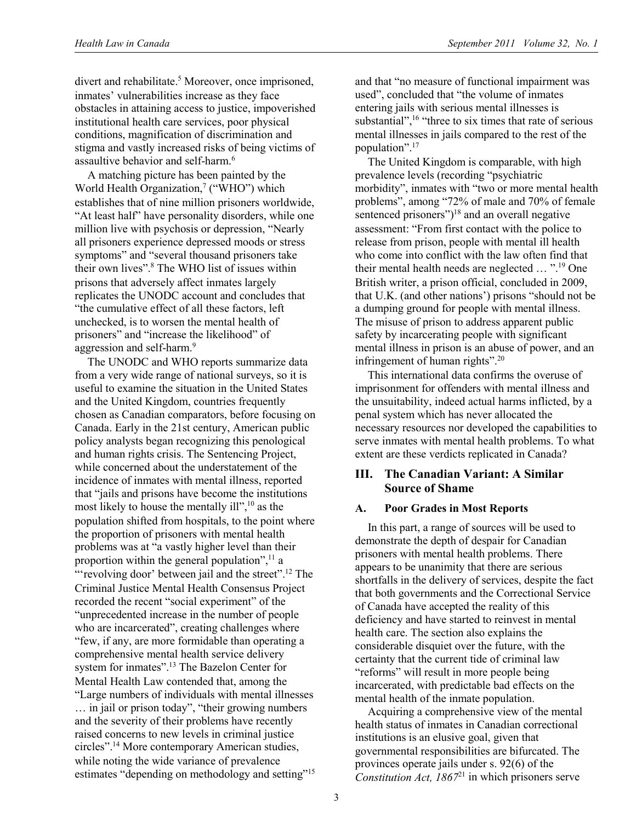divert and rehabilitate.<sup>5</sup> Moreover, once imprisoned, inmates' vulnerabilities increase as they face obstacles in attaining access to justice, impoverished institutional health care services, poor physical conditions, magnification of discrimination and stigma and vastly increased risks of being victims of assaultive behavior and self-harm.6

A matching picture has been painted by the World Health Organization,<sup>7</sup> ("WHO") which establishes that of nine million prisoners worldwide, "At least half" have personality disorders, while one million live with psychosis or depression, "Nearly all prisoners experience depressed moods or stress symptoms" and "several thousand prisoners take their own lives".<sup>8</sup> The WHO list of issues within prisons that adversely affect inmates largely replicates the UNODC account and concludes that "the cumulative effect of all these factors, left unchecked, is to worsen the mental health of prisoners" and "increase the likelihood" of aggression and self-harm.<sup>9</sup>

The UNODC and WHO reports summarize data from a very wide range of national surveys, so it is useful to examine the situation in the United States and the United Kingdom, countries frequently chosen as Canadian comparators, before focusing on Canada. Early in the 21st century, American public policy analysts began recognizing this penological and human rights crisis. The Sentencing Project, while concerned about the understatement of the incidence of inmates with mental illness, reported that "jails and prisons have become the institutions most likely to house the mentally ill",<sup>10</sup> as the population shifted from hospitals, to the point where the proportion of prisoners with mental health problems was at "a vastly higher level than their proportion within the general population", $\frac{11}{1}$  a "'revolving door' between jail and the street".<sup>12</sup> The Criminal Justice Mental Health Consensus Project recorded the recent "social experiment" of the "unprecedented increase in the number of people who are incarcerated", creating challenges where "few, if any, are more formidable than operating a comprehensive mental health service delivery system for inmates".13 The Bazelon Center for Mental Health Law contended that, among the "Large numbers of individuals with mental illnesses … in jail or prison today", "their growing numbers and the severity of their problems have recently raised concerns to new levels in criminal justice circles".14 More contemporary American studies, while noting the wide variance of prevalence estimates "depending on methodology and setting"<sup>15</sup>

and that "no measure of functional impairment was used", concluded that "the volume of inmates entering jails with serious mental illnesses is substantial",<sup>16</sup> "three to six times that rate of serious mental illnesses in jails compared to the rest of the population".17

The United Kingdom is comparable, with high prevalence levels (recording "psychiatric morbidity", inmates with "two or more mental health problems", among "72% of male and 70% of female sentenced prisoners")<sup>18</sup> and an overall negative assessment: "From first contact with the police to release from prison, people with mental ill health who come into conflict with the law often find that their mental health needs are neglected … ".19 One British writer, a prison official, concluded in 2009, that U.K. (and other nations') prisons "should not be a dumping ground for people with mental illness. The misuse of prison to address apparent public safety by incarcerating people with significant mental illness in prison is an abuse of power, and an infringement of human rights".<sup>20</sup>

This international data confirms the overuse of imprisonment for offenders with mental illness and the unsuitability, indeed actual harms inflicted, by a penal system which has never allocated the necessary resources nor developed the capabilities to serve inmates with mental health problems. To what extent are these verdicts replicated in Canada?

# **III. The Canadian Variant: A Similar Source of Shame**

# **A. Poor Grades in Most Reports**

In this part, a range of sources will be used to demonstrate the depth of despair for Canadian prisoners with mental health problems. There appears to be unanimity that there are serious shortfalls in the delivery of services, despite the fact that both governments and the Correctional Service of Canada have accepted the reality of this deficiency and have started to reinvest in mental health care. The section also explains the considerable disquiet over the future, with the certainty that the current tide of criminal law "reforms" will result in more people being incarcerated, with predictable bad effects on the mental health of the inmate population.

Acquiring a comprehensive view of the mental health status of inmates in Canadian correctional institutions is an elusive goal, given that governmental responsibilities are bifurcated. The provinces operate jails under s. 92(6) of the *Constitution Act, 1867*21 in which prisoners serve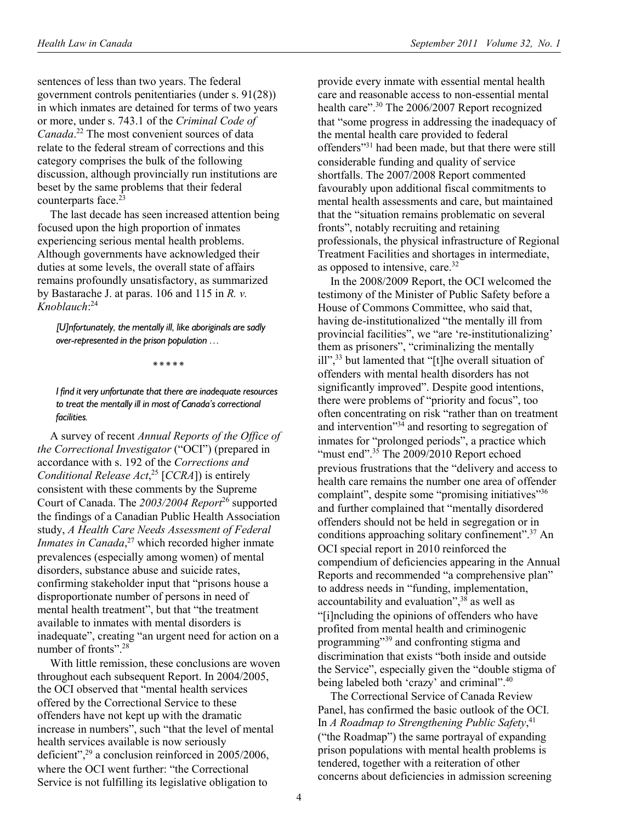sentences of less than two years. The federal government controls penitentiaries (under s. 91(28)) in which inmates are detained for terms of two years or more, under s. 743.1 of the *Criminal Code of Canada*. 22 The most convenient sources of data relate to the federal stream of corrections and this category comprises the bulk of the following discussion, although provincially run institutions are beset by the same problems that their federal counterparts face.<sup>23</sup>

The last decade has seen increased attention being focused upon the high proportion of inmates experiencing serious mental health problems. Although governments have acknowledged their duties at some levels, the overall state of affairs remains profoundly unsatisfactory, as summarized by Bastarache J. at paras. 106 and 115 in *R. v. Knoblauch*: 24

*[U]nfortunately, the mentally ill, like aboriginals are sadly over-represented in the prison population …* 

*\* \* \* \* \** 

*I find it very unfortunate that there are inadequate resources to treat the mentally ill in most of Canada's correctional facilities.* 

A survey of recent *Annual Reports of the Office of the Correctional Investigator* ("OCI") (prepared in accordance with s. 192 of the *Corrections and Conditional Release Act*, 25 [*CCRA*]) is entirely consistent with these comments by the Supreme Court of Canada. The *2003/2004 Report*26 supported the findings of a Canadian Public Health Association study, *A Health Care Needs Assessment of Federal Inmates in Canada*, 27 which recorded higher inmate prevalences (especially among women) of mental disorders, substance abuse and suicide rates, confirming stakeholder input that "prisons house a disproportionate number of persons in need of mental health treatment", but that "the treatment available to inmates with mental disorders is inadequate", creating "an urgent need for action on a number of fronts".28

With little remission, these conclusions are woven throughout each subsequent Report. In 2004/2005, the OCI observed that "mental health services offered by the Correctional Service to these offenders have not kept up with the dramatic increase in numbers", such "that the level of mental health services available is now seriously deficient",29 a conclusion reinforced in 2005/2006, where the OCI went further: "the Correctional Service is not fulfilling its legislative obligation to

provide every inmate with essential mental health care and reasonable access to non-essential mental health care".<sup>30</sup> The 2006/2007 Report recognized that "some progress in addressing the inadequacy of the mental health care provided to federal offenders"31 had been made, but that there were still considerable funding and quality of service shortfalls. The 2007/2008 Report commented favourably upon additional fiscal commitments to mental health assessments and care, but maintained that the "situation remains problematic on several fronts", notably recruiting and retaining professionals, the physical infrastructure of Regional Treatment Facilities and shortages in intermediate, as opposed to intensive, care.<sup>32</sup>

In the 2008/2009 Report, the OCI welcomed the testimony of the Minister of Public Safety before a House of Commons Committee, who said that, having de-institutionalized "the mentally ill from provincial facilities", we "are 're-institutionalizing' them as prisoners", "criminalizing the mentally ill",33 but lamented that "[t]he overall situation of offenders with mental health disorders has not significantly improved". Despite good intentions, there were problems of "priority and focus", too often concentrating on risk "rather than on treatment and intervention<sup> $34$ </sup> and resorting to segregation of inmates for "prolonged periods", a practice which "must end". $35$  The 2009/2010 Report echoed previous frustrations that the "delivery and access to health care remains the number one area of offender complaint", despite some "promising initiatives"<sup>36</sup> and further complained that "mentally disordered offenders should not be held in segregation or in conditions approaching solitary confinement".<sup>37</sup> An OCI special report in 2010 reinforced the compendium of deficiencies appearing in the Annual Reports and recommended "a comprehensive plan" to address needs in "funding, implementation, accountability and evaluation",  $3\overline{8}$  as well as "[i]ncluding the opinions of offenders who have profited from mental health and criminogenic programming"39 and confronting stigma and discrimination that exists "both inside and outside the Service", especially given the "double stigma of being labeled both 'crazy' and criminal".<sup>40</sup>

The Correctional Service of Canada Review Panel, has confirmed the basic outlook of the OCI. In *A Roadmap to Strengthening Public Safety*, 41 ("the Roadmap") the same portrayal of expanding prison populations with mental health problems is tendered, together with a reiteration of other concerns about deficiencies in admission screening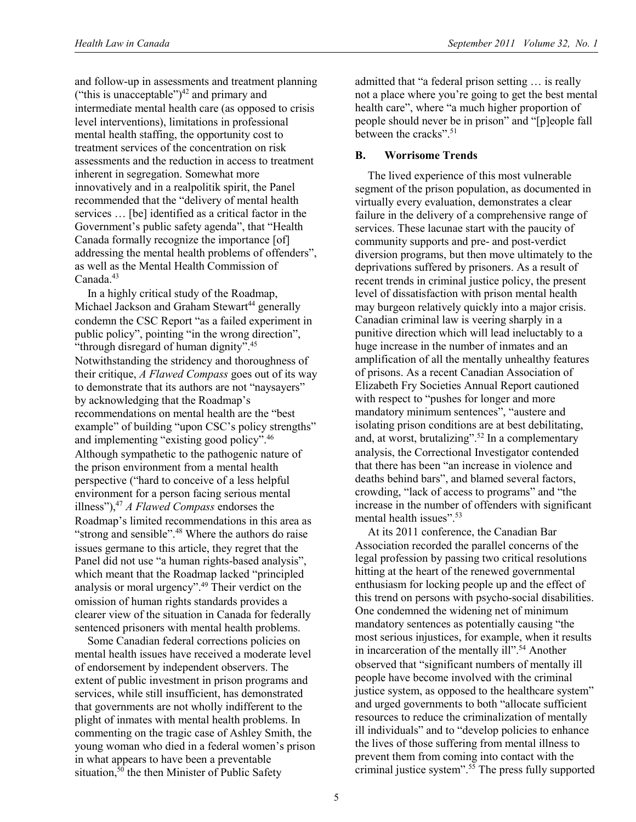and follow-up in assessments and treatment planning ("this is unacceptable") $42$  and primary and intermediate mental health care (as opposed to crisis level interventions), limitations in professional mental health staffing, the opportunity cost to treatment services of the concentration on risk assessments and the reduction in access to treatment inherent in segregation. Somewhat more innovatively and in a realpolitik spirit, the Panel recommended that the "delivery of mental health services … [be] identified as a critical factor in the Government's public safety agenda", that "Health Canada formally recognize the importance [of] addressing the mental health problems of offenders", as well as the Mental Health Commission of Canada.<sup>43</sup>

In a highly critical study of the Roadmap, Michael Jackson and Graham Stewart<sup>44</sup> generally condemn the CSC Report "as a failed experiment in public policy", pointing "in the wrong direction", "through disregard of human dignity".45 Notwithstanding the stridency and thoroughness of their critique, *A Flawed Compass* goes out of its way to demonstrate that its authors are not "naysayers" by acknowledging that the Roadmap's recommendations on mental health are the "best example" of building "upon CSC's policy strengths" and implementing "existing good policy".46 Although sympathetic to the pathogenic nature of the prison environment from a mental health perspective ("hard to conceive of a less helpful environment for a person facing serious mental illness"),47 *A Flawed Compass* endorses the Roadmap's limited recommendations in this area as "strong and sensible".48 Where the authors do raise issues germane to this article, they regret that the Panel did not use "a human rights-based analysis", which meant that the Roadmap lacked "principled analysis or moral urgency".49 Their verdict on the omission of human rights standards provides a clearer view of the situation in Canada for federally sentenced prisoners with mental health problems.

Some Canadian federal corrections policies on mental health issues have received a moderate level of endorsement by independent observers. The extent of public investment in prison programs and services, while still insufficient, has demonstrated that governments are not wholly indifferent to the plight of inmates with mental health problems. In commenting on the tragic case of Ashley Smith, the young woman who died in a federal women's prison in what appears to have been a preventable situation.<sup>50</sup> the then Minister of Public Safety

admitted that "a federal prison setting … is really not a place where you're going to get the best mental health care", where "a much higher proportion of people should never be in prison" and "[p]eople fall between the cracks".<sup>51</sup>

## **B. Worrisome Trends**

The lived experience of this most vulnerable segment of the prison population, as documented in virtually every evaluation, demonstrates a clear failure in the delivery of a comprehensive range of services. These lacunae start with the paucity of community supports and pre- and post-verdict diversion programs, but then move ultimately to the deprivations suffered by prisoners. As a result of recent trends in criminal justice policy, the present level of dissatisfaction with prison mental health may burgeon relatively quickly into a major crisis. Canadian criminal law is veering sharply in a punitive direction which will lead ineluctably to a huge increase in the number of inmates and an amplification of all the mentally unhealthy features of prisons. As a recent Canadian Association of Elizabeth Fry Societies Annual Report cautioned with respect to "pushes for longer and more mandatory minimum sentences", "austere and isolating prison conditions are at best debilitating, and, at worst, brutalizing".<sup>52</sup> In a complementary analysis, the Correctional Investigator contended that there has been "an increase in violence and deaths behind bars", and blamed several factors, crowding, "lack of access to programs" and "the increase in the number of offenders with significant mental health issues".<sup>53</sup>

At its 2011 conference, the Canadian Bar Association recorded the parallel concerns of the legal profession by passing two critical resolutions hitting at the heart of the renewed governmental enthusiasm for locking people up and the effect of this trend on persons with psycho-social disabilities. One condemned the widening net of minimum mandatory sentences as potentially causing "the most serious injustices, for example, when it results in incarceration of the mentally ill".<sup>54</sup> Another observed that "significant numbers of mentally ill people have become involved with the criminal justice system, as opposed to the healthcare system" and urged governments to both "allocate sufficient resources to reduce the criminalization of mentally ill individuals" and to "develop policies to enhance the lives of those suffering from mental illness to prevent them from coming into contact with the criminal justice system". $5\overline{5}$  The press fully supported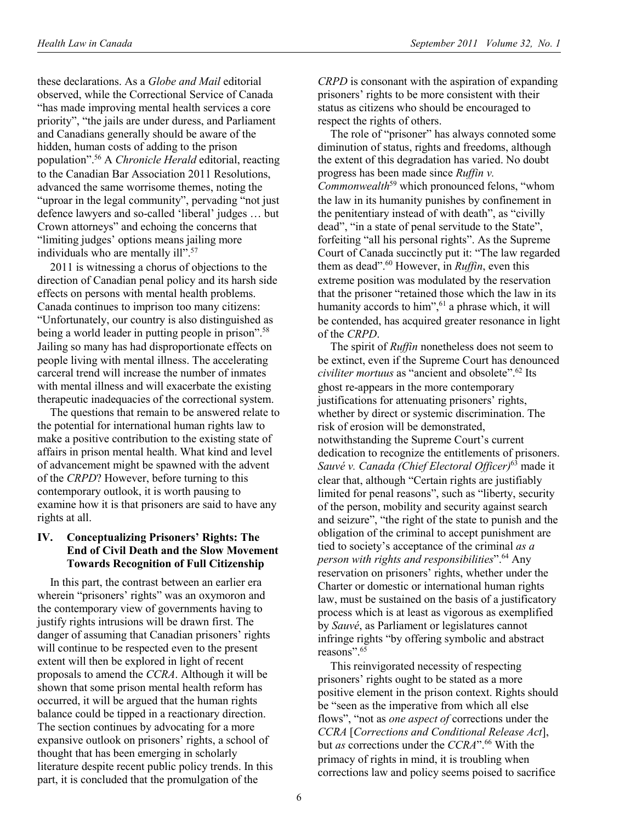these declarations. As a *Globe and Mail* editorial observed, while the Correctional Service of Canada "has made improving mental health services a core priority", "the jails are under duress, and Parliament and Canadians generally should be aware of the hidden, human costs of adding to the prison population".56 A *Chronicle Herald* editorial, reacting to the Canadian Bar Association 2011 Resolutions, advanced the same worrisome themes, noting the "uproar in the legal community", pervading "not just defence lawyers and so-called 'liberal' judges … but Crown attorneys" and echoing the concerns that "limiting judges' options means jailing more individuals who are mentally ill".<sup>57</sup>

2011 is witnessing a chorus of objections to the direction of Canadian penal policy and its harsh side effects on persons with mental health problems. Canada continues to imprison too many citizens: "Unfortunately, our country is also distinguished as being a world leader in putting people in prison".<sup>58</sup> Jailing so many has had disproportionate effects on people living with mental illness. The accelerating carceral trend will increase the number of inmates with mental illness and will exacerbate the existing therapeutic inadequacies of the correctional system.

The questions that remain to be answered relate to the potential for international human rights law to make a positive contribution to the existing state of affairs in prison mental health. What kind and level of advancement might be spawned with the advent of the *CRPD*? However, before turning to this contemporary outlook, it is worth pausing to examine how it is that prisoners are said to have any rights at all.

#### **IV. Conceptualizing Prisoners' Rights: The End of Civil Death and the Slow Movement Towards Recognition of Full Citizenship**

In this part, the contrast between an earlier era wherein "prisoners' rights" was an oxymoron and the contemporary view of governments having to justify rights intrusions will be drawn first. The danger of assuming that Canadian prisoners' rights will continue to be respected even to the present extent will then be explored in light of recent proposals to amend the *CCRA*. Although it will be shown that some prison mental health reform has occurred, it will be argued that the human rights balance could be tipped in a reactionary direction. The section continues by advocating for a more expansive outlook on prisoners' rights, a school of thought that has been emerging in scholarly literature despite recent public policy trends. In this part, it is concluded that the promulgation of the

*CRPD* is consonant with the aspiration of expanding prisoners' rights to be more consistent with their status as citizens who should be encouraged to respect the rights of others.

The role of "prisoner" has always connoted some diminution of status, rights and freedoms, although the extent of this degradation has varied. No doubt progress has been made since *Ruffin v. Commonwealth*<sup>59</sup> which pronounced felons, "whom the law in its humanity punishes by confinement in the penitentiary instead of with death", as "civilly dead", "in a state of penal servitude to the State", forfeiting "all his personal rights". As the Supreme Court of Canada succinctly put it: "The law regarded them as dead".60 However, in *Ruffin*, even this extreme position was modulated by the reservation that the prisoner "retained those which the law in its humanity accords to him", $61$  a phrase which, it will be contended, has acquired greater resonance in light of the *CRPD*.

The spirit of *Ruffin* nonetheless does not seem to be extinct, even if the Supreme Court has denounced *civiliter mortuus* as "ancient and obsolete".<sup>62</sup> Its ghost re-appears in the more contemporary justifications for attenuating prisoners' rights, whether by direct or systemic discrimination. The risk of erosion will be demonstrated, notwithstanding the Supreme Court's current dedication to recognize the entitlements of prisoners. *Sauvé v. Canada (Chief Electoral Officer)*63 made it clear that, although "Certain rights are justifiably limited for penal reasons", such as "liberty, security of the person, mobility and security against search and seizure", "the right of the state to punish and the obligation of the criminal to accept punishment are tied to society's acceptance of the criminal *as a person with rights and responsibilities*".64 Any reservation on prisoners' rights, whether under the Charter or domestic or international human rights law, must be sustained on the basis of a justificatory process which is at least as vigorous as exemplified by *Sauvé*, as Parliament or legislatures cannot infringe rights "by offering symbolic and abstract reasons".65

This reinvigorated necessity of respecting prisoners' rights ought to be stated as a more positive element in the prison context. Rights should be "seen as the imperative from which all else flows", "not as *one aspect of* corrections under the *CCRA* [*Corrections and Conditional Release Act*], but *as* corrections under the *CCRA*".<sup>66</sup> With the primacy of rights in mind, it is troubling when corrections law and policy seems poised to sacrifice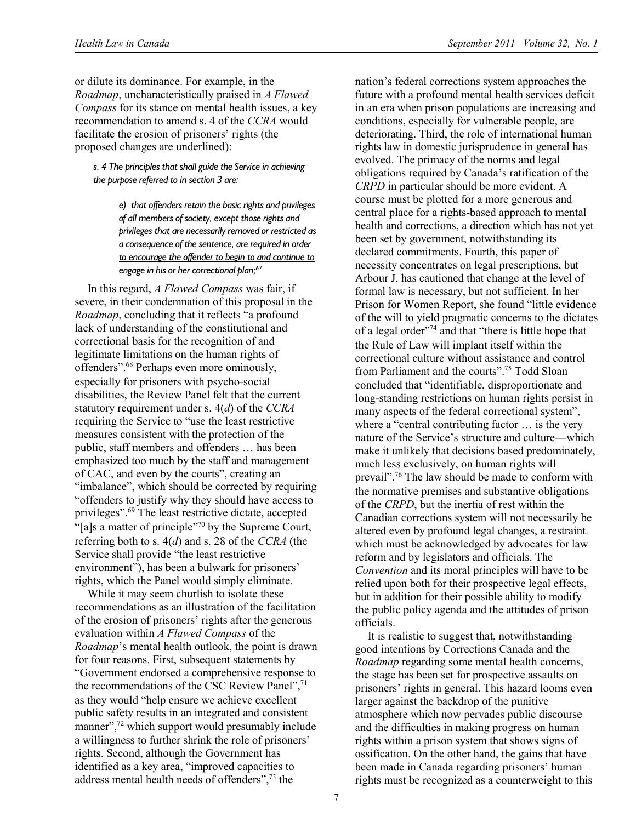or dilute its dominance. For example, in the *Roadmap*, uncharacteristically praised in *A Flawed Compass* for its stance on mental health issues, a key recommendation to amend s. 4 of the *CCRA* would facilitate the erosion of prisoners' rights (the proposed changes are underlined):

*s. 4 The principles that shall guide the Service in achieving the purpose referred to in section 3 are:* 

> *e) that offenders retain the basic rights and privileges of all members of society, except those rights and privileges that are necessarily removed or restricted as a consequence of the sentence, are required in order to encourage the offender to begin to and continue to engage in his or her correctional plan; 67*

In this regard, *A Flawed Compass* was fair, if severe, in their condemnation of this proposal in the *Roadmap*, concluding that it reflects "a profound lack of understanding of the constitutional and correctional basis for the recognition of and legitimate limitations on the human rights of offenders".68 Perhaps even more ominously, especially for prisoners with psycho-social disabilities, the Review Panel felt that the current statutory requirement under s. 4(*d*) of the *CCRA* requiring the Service to "use the least restrictive measures consistent with the protection of the public, staff members and offenders … has been emphasized too much by the staff and management of CAC, and even by the courts", creating an "imbalance", which should be corrected by requiring "offenders to justify why they should have access to privileges".69 The least restrictive dictate, accepted "[a]s a matter of principle"70 by the Supreme Court, referring both to s. 4(*d*) and s. 28 of the *CCRA* (the Service shall provide "the least restrictive environment"), has been a bulwark for prisoners' rights, which the Panel would simply eliminate.

While it may seem churlish to isolate these recommendations as an illustration of the facilitation of the erosion of prisoners' rights after the generous evaluation within *A Flawed Compass* of the *Roadmap*'s mental health outlook, the point is drawn for four reasons. First, subsequent statements by "Government endorsed a comprehensive response to the recommendations of the CSC Review Panel",<sup>71</sup> as they would "help ensure we achieve excellent public safety results in an integrated and consistent manner",<sup>72</sup> which support would presumably include a willingness to further shrink the role of prisoners' rights. Second, although the Government has identified as a key area, "improved capacities to address mental health needs of offenders",73 the

nation's federal corrections system approaches the future with a profound mental health services deficit in an era when prison populations are increasing and conditions, especially for vulnerable people, are deteriorating. Third, the role of international human rights law in domestic jurisprudence in general has evolved. The primacy of the norms and legal obligations required by Canada's ratification of the *CRPD* in particular should be more evident. A course must be plotted for a more generous and central place for a rights-based approach to mental health and corrections, a direction which has not yet been set by government, notwithstanding its declared commitments. Fourth, this paper of necessity concentrates on legal prescriptions, but Arbour J. has cautioned that change at the level of formal law is necessary, but not sufficient. In her Prison for Women Report, she found "little evidence of the will to yield pragmatic concerns to the dictates of a legal order"74 and that "there is little hope that the Rule of Law will implant itself within the correctional culture without assistance and control from Parliament and the courts".<sup>75</sup> Todd Sloan concluded that "identifiable, disproportionate and long-standing restrictions on human rights persist in many aspects of the federal correctional system", where a "central contributing factor … is the very nature of the Service's structure and culture—which make it unlikely that decisions based predominately, much less exclusively, on human rights will prevail".76 The law should be made to conform with the normative premises and substantive obligations of the *CRPD*, but the inertia of rest within the Canadian corrections system will not necessarily be altered even by profound legal changes, a restraint which must be acknowledged by advocates for law reform and by legislators and officials. The *Convention* and its moral principles will have to be relied upon both for their prospective legal effects, but in addition for their possible ability to modify the public policy agenda and the attitudes of prison officials.

It is realistic to suggest that, notwithstanding good intentions by Corrections Canada and the *Roadmap* regarding some mental health concerns, the stage has been set for prospective assaults on prisoners' rights in general. This hazard looms even larger against the backdrop of the punitive atmosphere which now pervades public discourse and the difficulties in making progress on human rights within a prison system that shows signs of ossification. On the other hand, the gains that have been made in Canada regarding prisoners' human rights must be recognized as a counterweight to this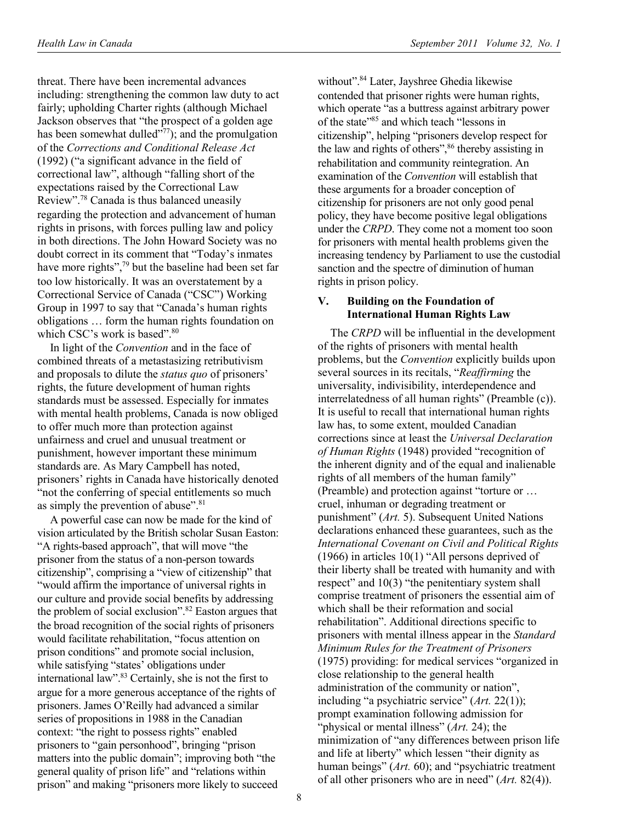threat. There have been incremental advances including: strengthening the common law duty to act fairly; upholding Charter rights (although Michael Jackson observes that "the prospect of a golden age has been somewhat dulled $\overline{r^{77}}$ ; and the promulgation of the *Corrections and Conditional Release Act* (1992) ("a significant advance in the field of correctional law", although "falling short of the expectations raised by the Correctional Law Review".78 Canada is thus balanced uneasily regarding the protection and advancement of human rights in prisons, with forces pulling law and policy in both directions. The John Howard Society was no doubt correct in its comment that "Today's inmates have more rights",<sup>79</sup> but the baseline had been set far too low historically. It was an overstatement by a Correctional Service of Canada ("CSC") Working Group in 1997 to say that "Canada's human rights obligations … form the human rights foundation on which CSC's work is based".<sup>80</sup>

In light of the *Convention* and in the face of combined threats of a metastasizing retributivism and proposals to dilute the *status quo* of prisoners' rights, the future development of human rights standards must be assessed. Especially for inmates with mental health problems, Canada is now obliged to offer much more than protection against unfairness and cruel and unusual treatment or punishment, however important these minimum standards are. As Mary Campbell has noted, prisoners' rights in Canada have historically denoted "not the conferring of special entitlements so much as simply the prevention of abuse".<sup>81</sup>

A powerful case can now be made for the kind of vision articulated by the British scholar Susan Easton: "A rights-based approach", that will move "the prisoner from the status of a non-person towards citizenship", comprising a "view of citizenship" that "would affirm the importance of universal rights in our culture and provide social benefits by addressing the problem of social exclusion".82 Easton argues that the broad recognition of the social rights of prisoners would facilitate rehabilitation, "focus attention on prison conditions" and promote social inclusion, while satisfying "states' obligations under international law".83 Certainly, she is not the first to argue for a more generous acceptance of the rights of prisoners. James O'Reilly had advanced a similar series of propositions in 1988 in the Canadian context: "the right to possess rights" enabled prisoners to "gain personhood", bringing "prison matters into the public domain"; improving both "the general quality of prison life" and "relations within prison" and making "prisoners more likely to succeed

without".<sup>84</sup> Later, Jayshree Ghedia likewise contended that prisoner rights were human rights, which operate "as a buttress against arbitrary power of the state<sup>385</sup> and which teach "lessons in citizenship", helping "prisoners develop respect for the law and rights of others",<sup>86</sup> thereby assisting in rehabilitation and community reintegration. An examination of the *Convention* will establish that these arguments for a broader conception of citizenship for prisoners are not only good penal policy, they have become positive legal obligations under the *CRPD*. They come not a moment too soon for prisoners with mental health problems given the increasing tendency by Parliament to use the custodial sanction and the spectre of diminution of human rights in prison policy.

### **V. Building on the Foundation of International Human Rights Law**

The *CRPD* will be influential in the development of the rights of prisoners with mental health problems, but the *Convention* explicitly builds upon several sources in its recitals, "*Reaffirming* the universality, indivisibility, interdependence and interrelatedness of all human rights" (Preamble (c)). It is useful to recall that international human rights law has, to some extent, moulded Canadian corrections since at least the *Universal Declaration of Human Rights* (1948) provided "recognition of the inherent dignity and of the equal and inalienable rights of all members of the human family" (Preamble) and protection against "torture or … cruel, inhuman or degrading treatment or punishment" (*Art.* 5). Subsequent United Nations declarations enhanced these guarantees, such as the *International Covenant on Civil and Political Rights* (1966) in articles 10(1) "All persons deprived of their liberty shall be treated with humanity and with respect" and 10(3) "the penitentiary system shall comprise treatment of prisoners the essential aim of which shall be their reformation and social rehabilitation". Additional directions specific to prisoners with mental illness appear in the *Standard Minimum Rules for the Treatment of Prisoners* (1975) providing: for medical services "organized in close relationship to the general health administration of the community or nation", including "a psychiatric service" (*Art.* 22(1)); prompt examination following admission for "physical or mental illness" (*Art.* 24); the minimization of "any differences between prison life and life at liberty" which lessen "their dignity as human beings" (*Art.* 60); and "psychiatric treatment" of all other prisoners who are in need" (*Art.* 82(4)).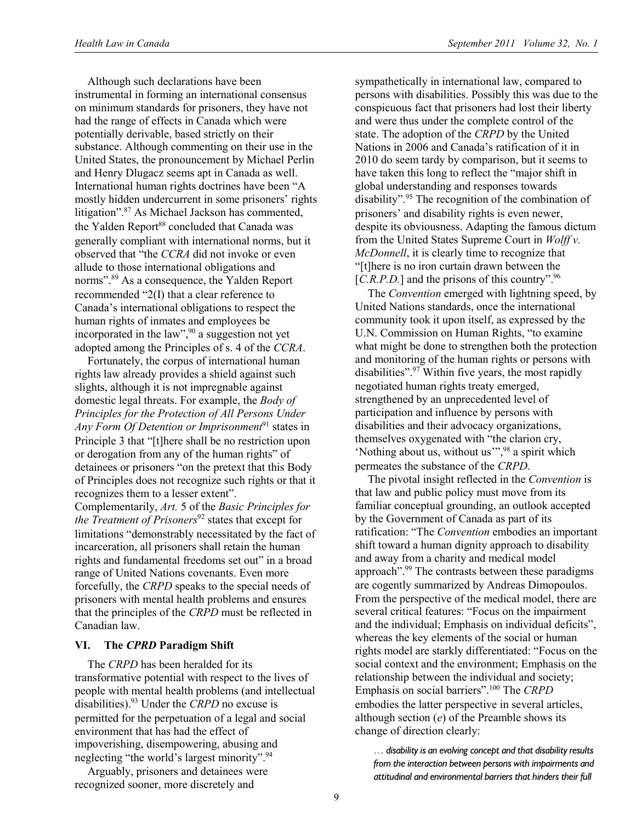Although such declarations have been instrumental in forming an international consensus on minimum standards for prisoners, they have not had the range of effects in Canada which were potentially derivable, based strictly on their substance. Although commenting on their use in the United States, the pronouncement by Michael Perlin and Henry Dlugacz seems apt in Canada as well. International human rights doctrines have been "A mostly hidden undercurrent in some prisoners' rights litigation".<sup>87</sup> As Michael Jackson has commented, the Yalden Report<sup>88</sup> concluded that Canada was generally compliant with international norms, but it observed that "the *CCRA* did not invoke or even allude to those international obligations and norms".89 As a consequence, the Yalden Report recommended "2(I) that a clear reference to Canada's international obligations to respect the human rights of inmates and employees be incorporated in the law",<sup>90</sup> a suggestion not yet adopted among the Principles of s. 4 of the *CCRA*.

Fortunately, the corpus of international human rights law already provides a shield against such slights, although it is not impregnable against domestic legal threats. For example, the *Body of Principles for the Protection of All Persons Under*  Any Form Of Detention or Imprisonment<sup>91</sup> states in Principle 3 that "[t]here shall be no restriction upon or derogation from any of the human rights" of detainees or prisoners "on the pretext that this Body of Principles does not recognize such rights or that it recognizes them to a lesser extent". Complementarily, *Art.* 5 of the *Basic Principles for* 

*the Treatment of Prisoners*<sup>92</sup> states that except for limitations "demonstrably necessitated by the fact of incarceration, all prisoners shall retain the human rights and fundamental freedoms set out" in a broad range of United Nations covenants. Even more forcefully, the *CRPD* speaks to the special needs of prisoners with mental health problems and ensures that the principles of the *CRPD* must be reflected in Canadian law.

### **VI. The** *CPRD* **Paradigm Shift**

The *CRPD* has been heralded for its transformative potential with respect to the lives of people with mental health problems (and intellectual disabilities).93 Under the *CRPD* no excuse is permitted for the perpetuation of a legal and social environment that has had the effect of impoverishing, disempowering, abusing and neglecting "the world's largest minority".<sup>94</sup>

Arguably, prisoners and detainees were recognized sooner, more discretely and

sympathetically in international law, compared to persons with disabilities. Possibly this was due to the conspicuous fact that prisoners had lost their liberty and were thus under the complete control of the state. The adoption of the *CRPD* by the United Nations in 2006 and Canada's ratification of it in 2010 do seem tardy by comparison, but it seems to have taken this long to reflect the "major shift in global understanding and responses towards disability".95 The recognition of the combination of prisoners' and disability rights is even newer, despite its obviousness. Adapting the famous dictum from the United States Supreme Court in *Wolff v. McDonnell*, it is clearly time to recognize that "[t]here is no iron curtain drawn between the [*C.R.P.D.*] and the prisons of this country".<sup>96</sup>

The *Convention* emerged with lightning speed, by United Nations standards, once the international community took it upon itself, as expressed by the U.N. Commission on Human Rights, "to examine what might be done to strengthen both the protection and monitoring of the human rights or persons with disabilities".97 Within five years, the most rapidly negotiated human rights treaty emerged, strengthened by an unprecedented level of participation and influence by persons with disabilities and their advocacy organizations, themselves oxygenated with "the clarion cry, 'Nothing about us, without us'",98 a spirit which permeates the substance of the *CRPD*.

The pivotal insight reflected in the *Convention* is that law and public policy must move from its familiar conceptual grounding, an outlook accepted by the Government of Canada as part of its ratification: "The *Convention* embodies an important shift toward a human dignity approach to disability and away from a charity and medical model approach".99 The contrasts between these paradigms are cogently summarized by Andreas Dimopoulos. From the perspective of the medical model, there are several critical features: "Focus on the impairment and the individual; Emphasis on individual deficits", whereas the key elements of the social or human rights model are starkly differentiated: "Focus on the social context and the environment; Emphasis on the relationship between the individual and society; Emphasis on social barriers".100 The *CRPD* embodies the latter perspective in several articles, although section (*e*) of the Preamble shows its change of direction clearly:

*… disability is an evolving concept and that disability results from the interaction between persons with impairments and attitudinal and environmental barriers that hinders their full*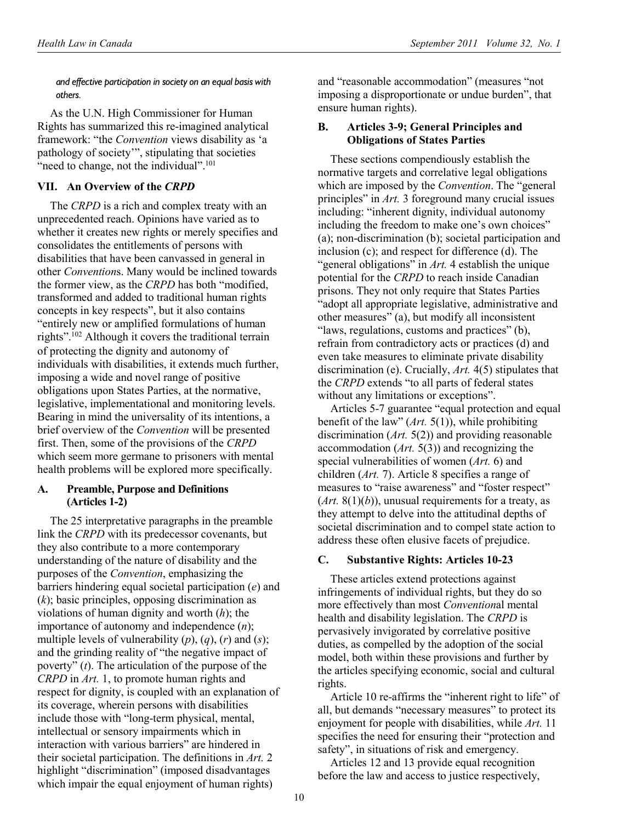*and effective participation in society on an equal basis with others.* 

As the U.N. High Commissioner for Human Rights has summarized this re-imagined analytical framework: "the *Convention* views disability as 'a pathology of society'", stipulating that societies "need to change, not the individual".<sup>101</sup>

# **VII. An Overview of the** *CRPD*

The *CRPD* is a rich and complex treaty with an unprecedented reach. Opinions have varied as to whether it creates new rights or merely specifies and consolidates the entitlements of persons with disabilities that have been canvassed in general in other *Convention*s. Many would be inclined towards the former view, as the *CRPD* has both "modified, transformed and added to traditional human rights concepts in key respects", but it also contains "entirely new or amplified formulations of human rights".<sup>102</sup> Although it covers the traditional terrain of protecting the dignity and autonomy of individuals with disabilities, it extends much further, imposing a wide and novel range of positive obligations upon States Parties, at the normative, legislative, implementational and monitoring levels. Bearing in mind the universality of its intentions, a brief overview of the *Convention* will be presented first. Then, some of the provisions of the *CRPD* which seem more germane to prisoners with mental health problems will be explored more specifically.

### **A. Preamble, Purpose and Definitions (Articles 1-2)**

The 25 interpretative paragraphs in the preamble link the *CRPD* with its predecessor covenants, but they also contribute to a more contemporary understanding of the nature of disability and the purposes of the *Convention*, emphasizing the barriers hindering equal societal participation (*e*) and (*k*); basic principles, opposing discrimination as violations of human dignity and worth (*h*); the importance of autonomy and independence (*n*); multiple levels of vulnerability (*p*), (*q*), (*r*) and (*s*); and the grinding reality of "the negative impact of poverty" (*t*). The articulation of the purpose of the *CRPD* in *Art.* 1, to promote human rights and respect for dignity, is coupled with an explanation of its coverage, wherein persons with disabilities include those with "long-term physical, mental, intellectual or sensory impairments which in interaction with various barriers" are hindered in their societal participation. The definitions in *Art.* 2 highlight "discrimination" (imposed disadvantages which impair the equal enjoyment of human rights)

and "reasonable accommodation" (measures "not imposing a disproportionate or undue burden", that ensure human rights).

### **B. Articles 3-9; General Principles and Obligations of States Parties**

These sections compendiously establish the normative targets and correlative legal obligations which are imposed by the *Convention*. The "general principles" in *Art.* 3 foreground many crucial issues including: "inherent dignity, individual autonomy including the freedom to make one's own choices" (a); non-discrimination (b); societal participation and inclusion (c); and respect for difference (d). The "general obligations" in *Art.* 4 establish the unique potential for the *CRPD* to reach inside Canadian prisons. They not only require that States Parties "adopt all appropriate legislative, administrative and other measures" (a), but modify all inconsistent "laws, regulations, customs and practices" (b), refrain from contradictory acts or practices (d) and even take measures to eliminate private disability discrimination (e). Crucially, *Art.* 4(5) stipulates that the *CRPD* extends "to all parts of federal states without any limitations or exceptions".

Articles 5-7 guarantee "equal protection and equal benefit of the law" (*Art.* 5(1)), while prohibiting discrimination (*Art.* 5(2)) and providing reasonable accommodation (*Art.* 5(3)) and recognizing the special vulnerabilities of women (*Art.* 6) and children (*Art.* 7). Article 8 specifies a range of measures to "raise awareness" and "foster respect"  $(Art. 8(1)(b))$ , unusual requirements for a treaty, as they attempt to delve into the attitudinal depths of societal discrimination and to compel state action to address these often elusive facets of prejudice.

# **C. Substantive Rights: Articles 10-23**

These articles extend protections against infringements of individual rights, but they do so more effectively than most *Convention*al mental health and disability legislation. The *CRPD* is pervasively invigorated by correlative positive duties, as compelled by the adoption of the social model, both within these provisions and further by the articles specifying economic, social and cultural rights.

Article 10 re-affirms the "inherent right to life" of all, but demands "necessary measures" to protect its enjoyment for people with disabilities, while *Art.* 11 specifies the need for ensuring their "protection and safety", in situations of risk and emergency.

Articles 12 and 13 provide equal recognition before the law and access to justice respectively,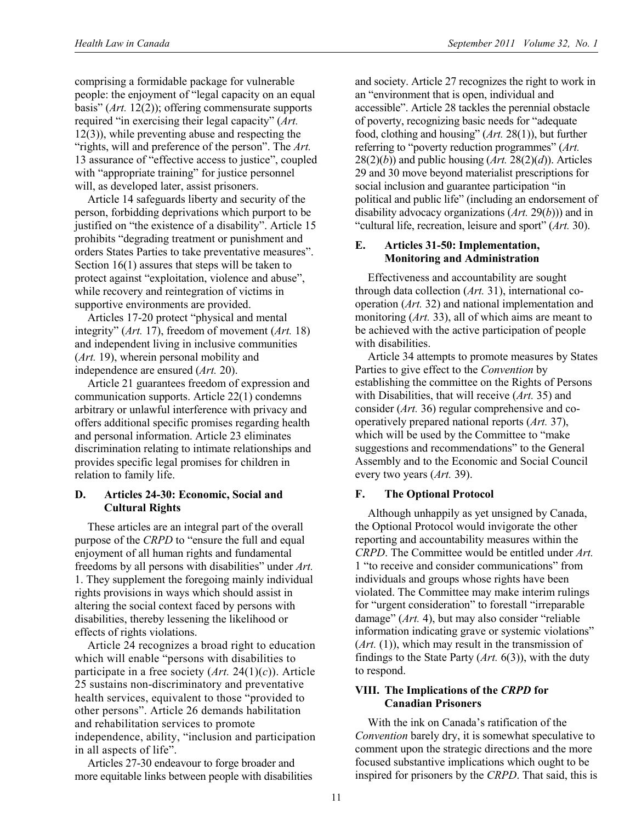comprising a formidable package for vulnerable people: the enjoyment of "legal capacity on an equal basis" (*Art.* 12(2)); offering commensurate supports required "in exercising their legal capacity" (*Art.* 12(3)), while preventing abuse and respecting the "rights, will and preference of the person". The *Art.* 13 assurance of "effective access to justice", coupled with "appropriate training" for justice personnel will, as developed later, assist prisoners.

Article 14 safeguards liberty and security of the person, forbidding deprivations which purport to be justified on "the existence of a disability". Article 15 prohibits "degrading treatment or punishment and orders States Parties to take preventative measures". Section 16(1) assures that steps will be taken to protect against "exploitation, violence and abuse", while recovery and reintegration of victims in supportive environments are provided.

Articles 17-20 protect "physical and mental integrity" (*Art.* 17), freedom of movement (*Art.* 18) and independent living in inclusive communities (*Art.* 19), wherein personal mobility and independence are ensured (*Art.* 20).

Article 21 guarantees freedom of expression and communication supports. Article 22(1) condemns arbitrary or unlawful interference with privacy and offers additional specific promises regarding health and personal information. Article 23 eliminates discrimination relating to intimate relationships and provides specific legal promises for children in relation to family life.

### **D. Articles 24-30: Economic, Social and Cultural Rights**

These articles are an integral part of the overall purpose of the *CRPD* to "ensure the full and equal enjoyment of all human rights and fundamental freedoms by all persons with disabilities" under *Art.* 1. They supplement the foregoing mainly individual rights provisions in ways which should assist in altering the social context faced by persons with disabilities, thereby lessening the likelihood or effects of rights violations.

Article 24 recognizes a broad right to education which will enable "persons with disabilities to participate in a free society (*Art.* 24(1)(*c*)). Article 25 sustains non-discriminatory and preventative health services, equivalent to those "provided to other persons". Article 26 demands habilitation and rehabilitation services to promote independence, ability, "inclusion and participation in all aspects of life".

Articles 27-30 endeavour to forge broader and more equitable links between people with disabilities and society. Article 27 recognizes the right to work in an "environment that is open, individual and accessible". Article 28 tackles the perennial obstacle of poverty, recognizing basic needs for "adequate food, clothing and housing" (*Art.* 28(1)), but further referring to "poverty reduction programmes" (*Art.*  $28(2)(b)$ ) and public housing  $(Art. 28(2)(d))$ . Articles 29 and 30 move beyond materialist prescriptions for social inclusion and guarantee participation "in political and public life" (including an endorsement of disability advocacy organizations (*Art.* 29(*b*))) and in "cultural life, recreation, leisure and sport" (*Art.* 30).

### **E. Articles 31-50: Implementation, Monitoring and Administration**

Effectiveness and accountability are sought through data collection (*Art.* 31), international cooperation (*Art.* 32) and national implementation and monitoring (*Art.* 33), all of which aims are meant to be achieved with the active participation of people with disabilities.

Article 34 attempts to promote measures by States Parties to give effect to the *Convention* by establishing the committee on the Rights of Persons with Disabilities, that will receive (*Art.* 35) and consider (*Art.* 36) regular comprehensive and cooperatively prepared national reports (*Art.* 37), which will be used by the Committee to "make suggestions and recommendations" to the General Assembly and to the Economic and Social Council every two years (*Art.* 39).

# **F. The Optional Protocol**

Although unhappily as yet unsigned by Canada, the Optional Protocol would invigorate the other reporting and accountability measures within the *CRPD*. The Committee would be entitled under *Art.* 1 "to receive and consider communications" from individuals and groups whose rights have been violated. The Committee may make interim rulings for "urgent consideration" to forestall "irreparable damage" (*Art.* 4), but may also consider "reliable information indicating grave or systemic violations" (*Art.* (1)), which may result in the transmission of findings to the State Party (*Art.* 6(3)), with the duty to respond.

### **VIII. The Implications of the** *CRPD* **for Canadian Prisoners**

With the ink on Canada's ratification of the *Convention* barely dry, it is somewhat speculative to comment upon the strategic directions and the more focused substantive implications which ought to be inspired for prisoners by the *CRPD*. That said, this is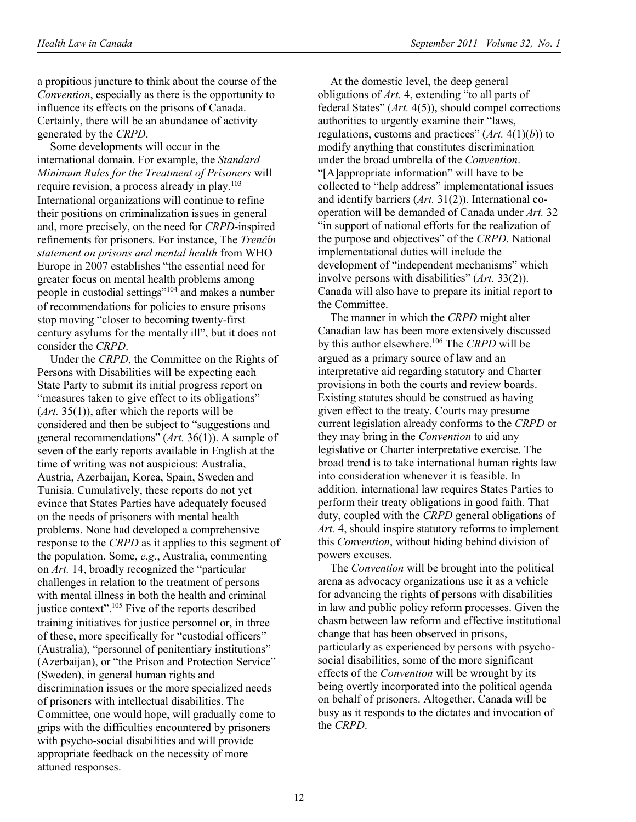a propitious juncture to think about the course of the *Convention*, especially as there is the opportunity to influence its effects on the prisons of Canada. Certainly, there will be an abundance of activity generated by the *CRPD*.

Some developments will occur in the international domain. For example, the *Standard Minimum Rules for the Treatment of Prisoners* will require revision, a process already in play.103 International organizations will continue to refine their positions on criminalization issues in general and, more precisely, on the need for *CRPD*-inspired refinements for prisoners. For instance, The *Trenčín statement on prisons and mental health* from WHO Europe in 2007 establishes "the essential need for greater focus on mental health problems among people in custodial settings"104 and makes a number of recommendations for policies to ensure prisons stop moving "closer to becoming twenty-first century asylums for the mentally ill", but it does not consider the *CRPD*.

Under the *CRPD*, the Committee on the Rights of Persons with Disabilities will be expecting each State Party to submit its initial progress report on "measures taken to give effect to its obligations" (*Art.* 35(1)), after which the reports will be considered and then be subject to "suggestions and general recommendations" (*Art.* 36(1)). A sample of seven of the early reports available in English at the time of writing was not auspicious: Australia, Austria, Azerbaijan, Korea, Spain, Sweden and Tunisia. Cumulatively, these reports do not yet evince that States Parties have adequately focused on the needs of prisoners with mental health problems. None had developed a comprehensive response to the *CRPD* as it applies to this segment of the population. Some, *e.g.*, Australia, commenting on *Art.* 14, broadly recognized the "particular challenges in relation to the treatment of persons with mental illness in both the health and criminal justice context".<sup>105</sup> Five of the reports described training initiatives for justice personnel or, in three of these, more specifically for "custodial officers" (Australia), "personnel of penitentiary institutions" (Azerbaijan), or "the Prison and Protection Service" (Sweden), in general human rights and discrimination issues or the more specialized needs of prisoners with intellectual disabilities. The Committee, one would hope, will gradually come to grips with the difficulties encountered by prisoners with psycho-social disabilities and will provide appropriate feedback on the necessity of more attuned responses.

At the domestic level, the deep general obligations of *Art.* 4, extending "to all parts of federal States" (*Art.* 4(5)), should compel corrections authorities to urgently examine their "laws, regulations, customs and practices" (*Art.* 4(1)(*b*)) to modify anything that constitutes discrimination under the broad umbrella of the *Convention*. "[A]appropriate information" will have to be collected to "help address" implementational issues and identify barriers (*Art.* 31(2)). International cooperation will be demanded of Canada under *Art.* 32 "in support of national efforts for the realization of the purpose and objectives" of the *CRPD*. National implementational duties will include the development of "independent mechanisms" which involve persons with disabilities" (*Art.* 33(2)). Canada will also have to prepare its initial report to the Committee.

The manner in which the *CRPD* might alter Canadian law has been more extensively discussed by this author elsewhere.106 The *CRPD* will be argued as a primary source of law and an interpretative aid regarding statutory and Charter provisions in both the courts and review boards. Existing statutes should be construed as having given effect to the treaty. Courts may presume current legislation already conforms to the *CRPD* or they may bring in the *Convention* to aid any legislative or Charter interpretative exercise. The broad trend is to take international human rights law into consideration whenever it is feasible. In addition, international law requires States Parties to perform their treaty obligations in good faith. That duty, coupled with the *CRPD* general obligations of *Art.* 4, should inspire statutory reforms to implement this *Convention*, without hiding behind division of powers excuses.

The *Convention* will be brought into the political arena as advocacy organizations use it as a vehicle for advancing the rights of persons with disabilities in law and public policy reform processes. Given the chasm between law reform and effective institutional change that has been observed in prisons, particularly as experienced by persons with psychosocial disabilities, some of the more significant effects of the *Convention* will be wrought by its being overtly incorporated into the political agenda on behalf of prisoners. Altogether, Canada will be busy as it responds to the dictates and invocation of the *CRPD*.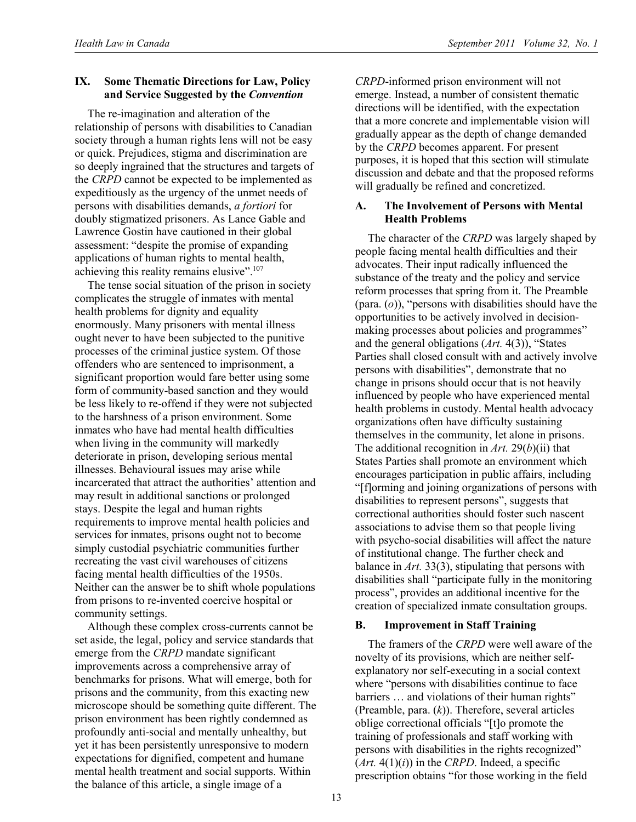### **IX. Some Thematic Directions for Law, Policy and Service Suggested by the** *Convention*

The re-imagination and alteration of the relationship of persons with disabilities to Canadian society through a human rights lens will not be easy or quick. Prejudices, stigma and discrimination are so deeply ingrained that the structures and targets of the *CRPD* cannot be expected to be implemented as expeditiously as the urgency of the unmet needs of persons with disabilities demands, *a fortiori* for doubly stigmatized prisoners. As Lance Gable and Lawrence Gostin have cautioned in their global assessment: "despite the promise of expanding applications of human rights to mental health, achieving this reality remains elusive".<sup>107</sup>

The tense social situation of the prison in society complicates the struggle of inmates with mental health problems for dignity and equality enormously. Many prisoners with mental illness ought never to have been subjected to the punitive processes of the criminal justice system. Of those offenders who are sentenced to imprisonment, a significant proportion would fare better using some form of community-based sanction and they would be less likely to re-offend if they were not subjected to the harshness of a prison environment. Some inmates who have had mental health difficulties when living in the community will markedly deteriorate in prison, developing serious mental illnesses. Behavioural issues may arise while incarcerated that attract the authorities' attention and may result in additional sanctions or prolonged stays. Despite the legal and human rights requirements to improve mental health policies and services for inmates, prisons ought not to become simply custodial psychiatric communities further recreating the vast civil warehouses of citizens facing mental health difficulties of the 1950s. Neither can the answer be to shift whole populations from prisons to re-invented coercive hospital or community settings.

Although these complex cross-currents cannot be set aside, the legal, policy and service standards that emerge from the *CRPD* mandate significant improvements across a comprehensive array of benchmarks for prisons. What will emerge, both for prisons and the community, from this exacting new microscope should be something quite different. The prison environment has been rightly condemned as profoundly anti-social and mentally unhealthy, but yet it has been persistently unresponsive to modern expectations for dignified, competent and humane mental health treatment and social supports. Within the balance of this article, a single image of a

*CRPD*-informed prison environment will not emerge. Instead, a number of consistent thematic directions will be identified, with the expectation that a more concrete and implementable vision will gradually appear as the depth of change demanded by the *CRPD* becomes apparent. For present purposes, it is hoped that this section will stimulate discussion and debate and that the proposed reforms will gradually be refined and concretized.

#### **A. The Involvement of Persons with Mental Health Problems**

The character of the *CRPD* was largely shaped by people facing mental health difficulties and their advocates. Their input radically influenced the substance of the treaty and the policy and service reform processes that spring from it. The Preamble (para. (*o*)), "persons with disabilities should have the opportunities to be actively involved in decisionmaking processes about policies and programmes" and the general obligations (*Art.* 4(3)), "States Parties shall closed consult with and actively involve persons with disabilities", demonstrate that no change in prisons should occur that is not heavily influenced by people who have experienced mental health problems in custody. Mental health advocacy organizations often have difficulty sustaining themselves in the community, let alone in prisons. The additional recognition in *Art.* 29(*b*)(ii) that States Parties shall promote an environment which encourages participation in public affairs, including "[f]orming and joining organizations of persons with disabilities to represent persons", suggests that correctional authorities should foster such nascent associations to advise them so that people living with psycho-social disabilities will affect the nature of institutional change. The further check and balance in *Art.* 33(3), stipulating that persons with disabilities shall "participate fully in the monitoring process", provides an additional incentive for the creation of specialized inmate consultation groups.

### **B. Improvement in Staff Training**

The framers of the *CRPD* were well aware of the novelty of its provisions, which are neither selfexplanatory nor self-executing in a social context where "persons with disabilities continue to face barriers ... and violations of their human rights" (Preamble, para. (*k*)). Therefore, several articles oblige correctional officials "[t]o promote the training of professionals and staff working with persons with disabilities in the rights recognized"  $(Art. 4(1)(i))$  in the *CRPD*. Indeed, a specific prescription obtains "for those working in the field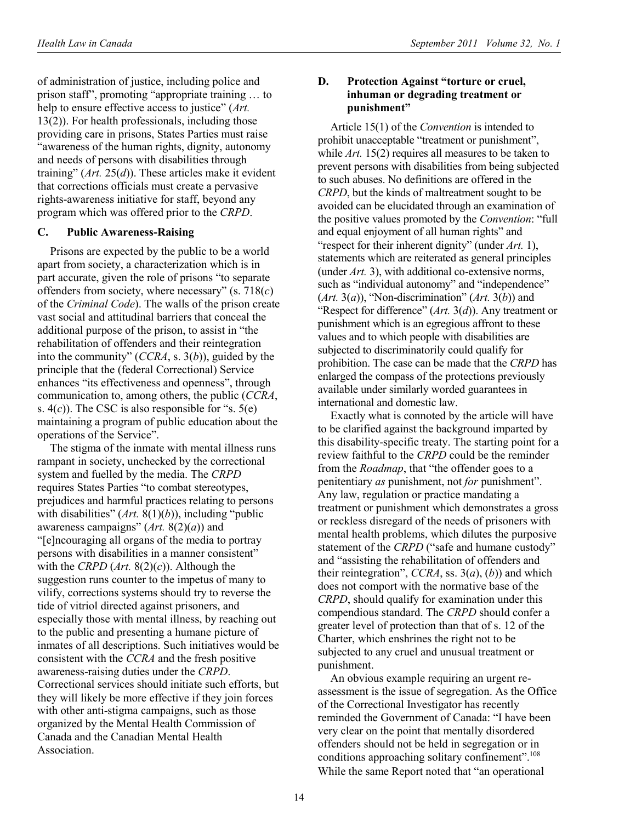of administration of justice, including police and prison staff", promoting "appropriate training … to help to ensure effective access to justice" (*Art.* 13(2)). For health professionals, including those providing care in prisons, States Parties must raise "awareness of the human rights, dignity, autonomy and needs of persons with disabilities through training" (*Art.* 25(*d*)). These articles make it evident that corrections officials must create a pervasive rights-awareness initiative for staff, beyond any program which was offered prior to the *CRPD*.

### **C. Public Awareness-Raising**

Prisons are expected by the public to be a world apart from society, a characterization which is in part accurate, given the role of prisons "to separate offenders from society, where necessary" (s. 718(*c*) of the *Criminal Code*). The walls of the prison create vast social and attitudinal barriers that conceal the additional purpose of the prison, to assist in "the rehabilitation of offenders and their reintegration into the community" (*CCRA*, s. 3(*b*)), guided by the principle that the (federal Correctional) Service enhances "its effectiveness and openness", through communication to, among others, the public (*CCRA*, s.  $4(c)$ ). The CSC is also responsible for "s.  $5(e)$ maintaining a program of public education about the operations of the Service".

The stigma of the inmate with mental illness runs rampant in society, unchecked by the correctional system and fuelled by the media. The *CRPD* requires States Parties "to combat stereotypes, prejudices and harmful practices relating to persons with disabilities" (Art. 8(1)(b)), including "public awareness campaigns" (*Art.* 8(2)(*a*)) and "[e]ncouraging all organs of the media to portray persons with disabilities in a manner consistent" with the *CRPD* (*Art.* 8(2)(*c*)). Although the suggestion runs counter to the impetus of many to vilify, corrections systems should try to reverse the tide of vitriol directed against prisoners, and especially those with mental illness, by reaching out to the public and presenting a humane picture of inmates of all descriptions. Such initiatives would be consistent with the *CCRA* and the fresh positive awareness-raising duties under the *CRPD*. Correctional services should initiate such efforts, but they will likely be more effective if they join forces with other anti-stigma campaigns, such as those organized by the Mental Health Commission of Canada and the Canadian Mental Health Association.

### **D. Protection Against "torture or cruel, inhuman or degrading treatment or punishment"**

Article 15(1) of the *Convention* is intended to prohibit unacceptable "treatment or punishment", while *Art.* 15(2) requires all measures to be taken to prevent persons with disabilities from being subjected to such abuses. No definitions are offered in the *CRPD*, but the kinds of maltreatment sought to be avoided can be elucidated through an examination of the positive values promoted by the *Convention*: "full and equal enjoyment of all human rights" and "respect for their inherent dignity" (under *Art.* 1), statements which are reiterated as general principles (under *Art.* 3), with additional co-extensive norms, such as "individual autonomy" and "independence"  $(Art. 3(a))$ , "Non-discrimination"  $(Art. 3(b))$  and "Respect for difference" (*Art.* 3(*d*)). Any treatment or punishment which is an egregious affront to these values and to which people with disabilities are subjected to discriminatorily could qualify for prohibition. The case can be made that the *CRPD* has enlarged the compass of the protections previously available under similarly worded guarantees in international and domestic law.

Exactly what is connoted by the article will have to be clarified against the background imparted by this disability-specific treaty. The starting point for a review faithful to the *CRPD* could be the reminder from the *Roadmap*, that "the offender goes to a penitentiary *as* punishment, not *for* punishment". Any law, regulation or practice mandating a treatment or punishment which demonstrates a gross or reckless disregard of the needs of prisoners with mental health problems, which dilutes the purposive statement of the *CRPD* ("safe and humane custody" and "assisting the rehabilitation of offenders and their reintegration", *CCRA*, ss. 3(*a*), (*b*)) and which does not comport with the normative base of the *CRPD*, should qualify for examination under this compendious standard. The *CRPD* should confer a greater level of protection than that of s. 12 of the Charter, which enshrines the right not to be subjected to any cruel and unusual treatment or punishment.

An obvious example requiring an urgent reassessment is the issue of segregation. As the Office of the Correctional Investigator has recently reminded the Government of Canada: "I have been very clear on the point that mentally disordered offenders should not be held in segregation or in conditions approaching solitary confinement".<sup>108</sup> While the same Report noted that "an operational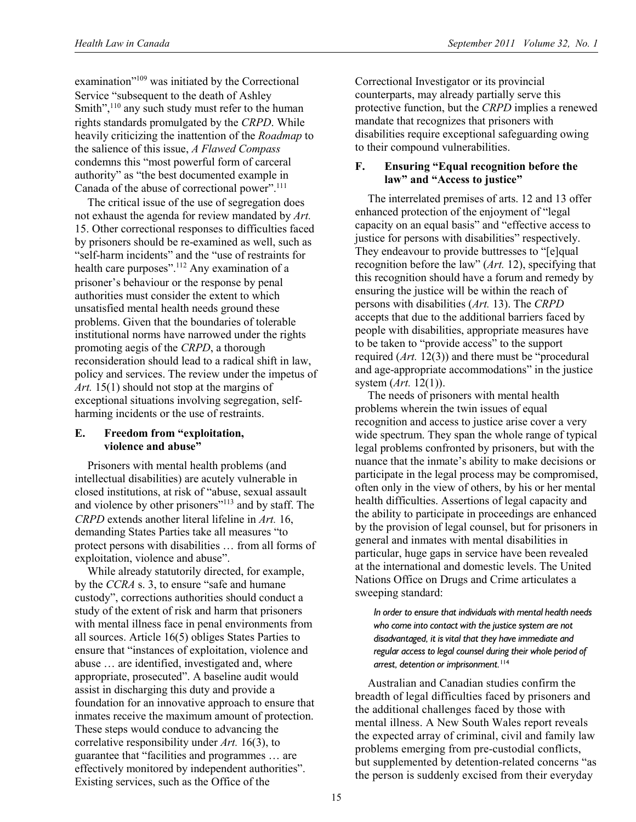examination"109 was initiated by the Correctional Service "subsequent to the death of Ashley Smith", $110$  any such study must refer to the human rights standards promulgated by the *CRPD*. While heavily criticizing the inattention of the *Roadmap* to the salience of this issue, *A Flawed Compass* condemns this "most powerful form of carceral authority" as "the best documented example in Canada of the abuse of correctional power".<sup>111</sup>

The critical issue of the use of segregation does not exhaust the agenda for review mandated by *Art.* 15. Other correctional responses to difficulties faced by prisoners should be re-examined as well, such as "self-harm incidents" and the "use of restraints for health care purposes".<sup>112</sup> Any examination of a prisoner's behaviour or the response by penal authorities must consider the extent to which unsatisfied mental health needs ground these problems. Given that the boundaries of tolerable institutional norms have narrowed under the rights promoting aegis of the *CRPD*, a thorough reconsideration should lead to a radical shift in law, policy and services. The review under the impetus of *Art.* 15(1) should not stop at the margins of exceptional situations involving segregation, selfharming incidents or the use of restraints.

### **E. Freedom from "exploitation, violence and abuse"**

Prisoners with mental health problems (and intellectual disabilities) are acutely vulnerable in closed institutions, at risk of "abuse, sexual assault and violence by other prisoners"113 and by staff. The *CRPD* extends another literal lifeline in *Art.* 16, demanding States Parties take all measures "to protect persons with disabilities … from all forms of exploitation, violence and abuse".

While already statutorily directed, for example, by the *CCRA* s. 3, to ensure "safe and humane custody", corrections authorities should conduct a study of the extent of risk and harm that prisoners with mental illness face in penal environments from all sources. Article 16(5) obliges States Parties to ensure that "instances of exploitation, violence and abuse … are identified, investigated and, where appropriate, prosecuted". A baseline audit would assist in discharging this duty and provide a foundation for an innovative approach to ensure that inmates receive the maximum amount of protection. These steps would conduce to advancing the correlative responsibility under *Art.* 16(3), to guarantee that "facilities and programmes … are effectively monitored by independent authorities". Existing services, such as the Office of the

Correctional Investigator or its provincial counterparts, may already partially serve this protective function, but the *CRPD* implies a renewed mandate that recognizes that prisoners with disabilities require exceptional safeguarding owing to their compound vulnerabilities.

### **F. Ensuring "Equal recognition before the law" and "Access to justice"**

The interrelated premises of arts. 12 and 13 offer enhanced protection of the enjoyment of "legal capacity on an equal basis" and "effective access to justice for persons with disabilities" respectively. They endeavour to provide buttresses to "[e]qual recognition before the law" (*Art.* 12), specifying that this recognition should have a forum and remedy by ensuring the justice will be within the reach of persons with disabilities (*Art.* 13). The *CRPD* accepts that due to the additional barriers faced by people with disabilities, appropriate measures have to be taken to "provide access" to the support required (*Art.* 12(3)) and there must be "procedural and age-appropriate accommodations" in the justice system (*Art.* 12(1)).

The needs of prisoners with mental health problems wherein the twin issues of equal recognition and access to justice arise cover a very wide spectrum. They span the whole range of typical legal problems confronted by prisoners, but with the nuance that the inmate's ability to make decisions or participate in the legal process may be compromised, often only in the view of others, by his or her mental health difficulties. Assertions of legal capacity and the ability to participate in proceedings are enhanced by the provision of legal counsel, but for prisoners in general and inmates with mental disabilities in particular, huge gaps in service have been revealed at the international and domestic levels. The United Nations Office on Drugs and Crime articulates a sweeping standard:

*In order to ensure that individuals with mental health needs who come into contact with the justice system are not disadvantaged, it is vital that they have immediate and regular access to legal counsel during their whole period of arrest, detention or imprisonment.*<sup>114</sup>

Australian and Canadian studies confirm the breadth of legal difficulties faced by prisoners and the additional challenges faced by those with mental illness. A New South Wales report reveals the expected array of criminal, civil and family law problems emerging from pre-custodial conflicts, but supplemented by detention-related concerns "as the person is suddenly excised from their everyday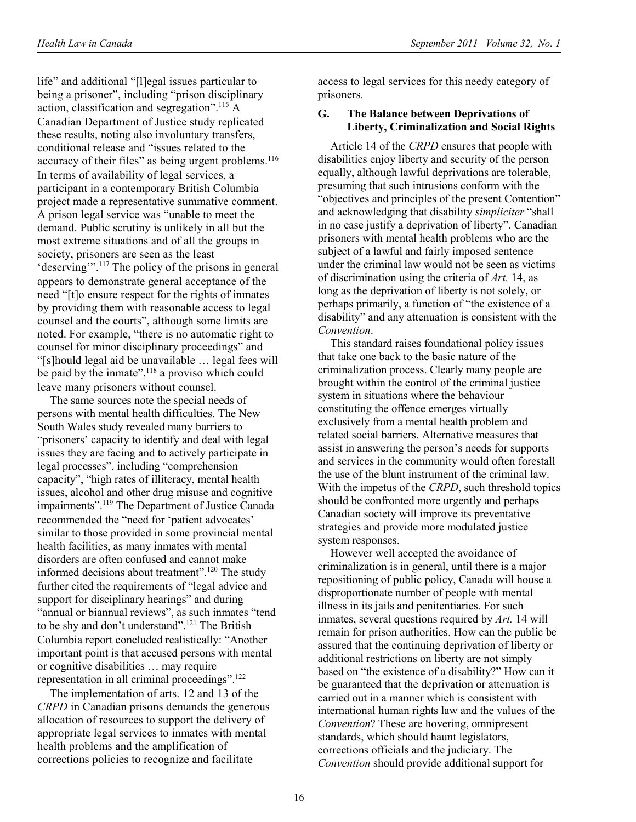life" and additional "[l]egal issues particular to being a prisoner", including "prison disciplinary action, classification and segregation".115 A Canadian Department of Justice study replicated these results, noting also involuntary transfers, conditional release and "issues related to the accuracy of their files" as being urgent problems.<sup>116</sup> In terms of availability of legal services, a participant in a contemporary British Columbia project made a representative summative comment. A prison legal service was "unable to meet the demand. Public scrutiny is unlikely in all but the most extreme situations and of all the groups in society, prisoners are seen as the least 'deserving'".117 The policy of the prisons in general appears to demonstrate general acceptance of the need "[t]o ensure respect for the rights of inmates by providing them with reasonable access to legal counsel and the courts", although some limits are noted. For example, "there is no automatic right to counsel for minor disciplinary proceedings" and "[s]hould legal aid be unavailable … legal fees will be paid by the inmate",<sup>118</sup> a proviso which could leave many prisoners without counsel.

The same sources note the special needs of persons with mental health difficulties. The New South Wales study revealed many barriers to "prisoners' capacity to identify and deal with legal issues they are facing and to actively participate in legal processes", including "comprehension capacity", "high rates of illiteracy, mental health issues, alcohol and other drug misuse and cognitive impairments".119 The Department of Justice Canada recommended the "need for 'patient advocates' similar to those provided in some provincial mental health facilities, as many inmates with mental disorders are often confused and cannot make informed decisions about treatment".120 The study further cited the requirements of "legal advice and support for disciplinary hearings" and during "annual or biannual reviews", as such inmates "tend to be shy and don't understand".<sup>121</sup> The British Columbia report concluded realistically: "Another important point is that accused persons with mental or cognitive disabilities … may require representation in all criminal proceedings".122

The implementation of arts. 12 and 13 of the *CRPD* in Canadian prisons demands the generous allocation of resources to support the delivery of appropriate legal services to inmates with mental health problems and the amplification of corrections policies to recognize and facilitate

access to legal services for this needy category of prisoners.

#### **G. The Balance between Deprivations of Liberty, Criminalization and Social Rights**

Article 14 of the *CRPD* ensures that people with disabilities enjoy liberty and security of the person equally, although lawful deprivations are tolerable, presuming that such intrusions conform with the "objectives and principles of the present Contention" and acknowledging that disability *simpliciter* "shall in no case justify a deprivation of liberty". Canadian prisoners with mental health problems who are the subject of a lawful and fairly imposed sentence under the criminal law would not be seen as victims of discrimination using the criteria of *Art.* 14, as long as the deprivation of liberty is not solely, or perhaps primarily, a function of "the existence of a disability" and any attenuation is consistent with the *Convention*.

This standard raises foundational policy issues that take one back to the basic nature of the criminalization process. Clearly many people are brought within the control of the criminal justice system in situations where the behaviour constituting the offence emerges virtually exclusively from a mental health problem and related social barriers. Alternative measures that assist in answering the person's needs for supports and services in the community would often forestall the use of the blunt instrument of the criminal law. With the impetus of the *CRPD*, such threshold topics should be confronted more urgently and perhaps Canadian society will improve its preventative strategies and provide more modulated justice system responses.

However well accepted the avoidance of criminalization is in general, until there is a major repositioning of public policy, Canada will house a disproportionate number of people with mental illness in its jails and penitentiaries. For such inmates, several questions required by *Art.* 14 will remain for prison authorities. How can the public be assured that the continuing deprivation of liberty or additional restrictions on liberty are not simply based on "the existence of a disability?" How can it be guaranteed that the deprivation or attenuation is carried out in a manner which is consistent with international human rights law and the values of the *Convention*? These are hovering, omnipresent standards, which should haunt legislators, corrections officials and the judiciary. The *Convention* should provide additional support for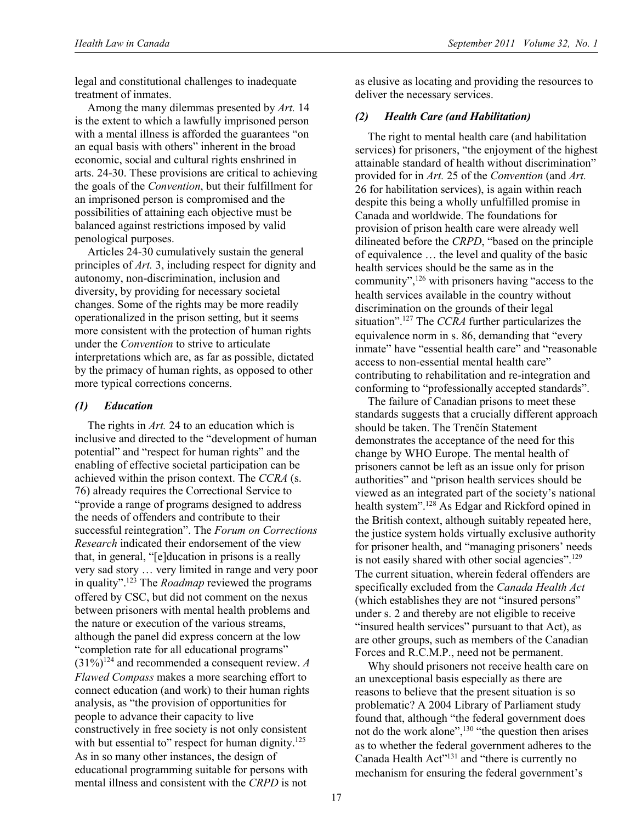legal and constitutional challenges to inadequate treatment of inmates.

Among the many dilemmas presented by *Art.* 14 is the extent to which a lawfully imprisoned person with a mental illness is afforded the guarantees "on an equal basis with others" inherent in the broad economic, social and cultural rights enshrined in arts. 24-30. These provisions are critical to achieving the goals of the *Convention*, but their fulfillment for an imprisoned person is compromised and the possibilities of attaining each objective must be balanced against restrictions imposed by valid penological purposes.

Articles 24-30 cumulatively sustain the general principles of *Art.* 3, including respect for dignity and autonomy, non-discrimination, inclusion and diversity, by providing for necessary societal changes. Some of the rights may be more readily operationalized in the prison setting, but it seems more consistent with the protection of human rights under the *Convention* to strive to articulate interpretations which are, as far as possible, dictated by the primacy of human rights, as opposed to other more typical corrections concerns.

#### *(1) Education*

The rights in *Art.* 24 to an education which is inclusive and directed to the "development of human potential" and "respect for human rights" and the enabling of effective societal participation can be achieved within the prison context. The *CCRA* (s. 76) already requires the Correctional Service to "provide a range of programs designed to address the needs of offenders and contribute to their successful reintegration". The *Forum on Corrections Research* indicated their endorsement of the view that, in general, "[e]ducation in prisons is a really very sad story … very limited in range and very poor in quality".123 The *Roadmap* reviewed the programs offered by CSC, but did not comment on the nexus between prisoners with mental health problems and the nature or execution of the various streams, although the panel did express concern at the low "completion rate for all educational programs"  $(31\%)^{124}$  and recommended a consequent review. *A Flawed Compass* makes a more searching effort to connect education (and work) to their human rights analysis, as "the provision of opportunities for people to advance their capacity to live constructively in free society is not only consistent with but essential to" respect for human dignity.<sup>125</sup> As in so many other instances, the design of educational programming suitable for persons with mental illness and consistent with the *CRPD* is not

as elusive as locating and providing the resources to deliver the necessary services.

## *(2) Health Care (and Habilitation)*

The right to mental health care (and habilitation services) for prisoners, "the enjoyment of the highest attainable standard of health without discrimination" provided for in *Art.* 25 of the *Convention* (and *Art.* 26 for habilitation services), is again within reach despite this being a wholly unfulfilled promise in Canada and worldwide. The foundations for provision of prison health care were already well dilineated before the *CRPD*, "based on the principle of equivalence … the level and quality of the basic health services should be the same as in the community",126 with prisoners having "access to the health services available in the country without discrimination on the grounds of their legal situation".127 The *CCRA* further particularizes the equivalence norm in s. 86, demanding that "every inmate" have "essential health care" and "reasonable access to non-essential mental health care" contributing to rehabilitation and re-integration and conforming to "professionally accepted standards".

The failure of Canadian prisons to meet these standards suggests that a crucially different approach should be taken. The Trenčín Statement demonstrates the acceptance of the need for this change by WHO Europe. The mental health of prisoners cannot be left as an issue only for prison authorities" and "prison health services should be viewed as an integrated part of the society's national health system".<sup>128</sup> As Edgar and Rickford opined in the British context, although suitably repeated here, the justice system holds virtually exclusive authority for prisoner health, and "managing prisoners' needs is not easily shared with other social agencies".<sup>129</sup> The current situation, wherein federal offenders are specifically excluded from the *Canada Health Act* (which establishes they are not "insured persons" under s. 2 and thereby are not eligible to receive "insured health services" pursuant to that Act), as are other groups, such as members of the Canadian Forces and R.C.M.P., need not be permanent.

Why should prisoners not receive health care on an unexceptional basis especially as there are reasons to believe that the present situation is so problematic? A 2004 Library of Parliament study found that, although "the federal government does not do the work alone",<sup>130</sup> "the question then arises as to whether the federal government adheres to the Canada Health Act"131 and "there is currently no mechanism for ensuring the federal government's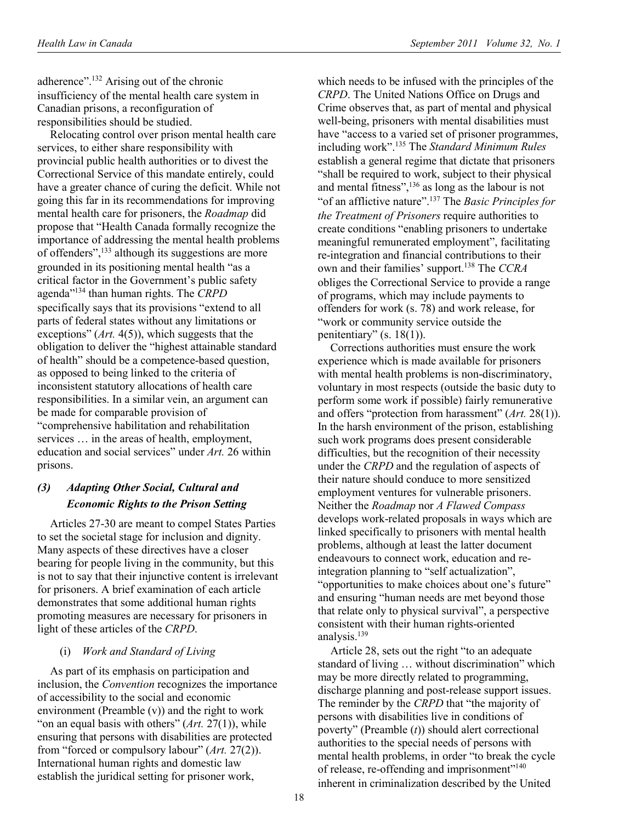adherence".132 Arising out of the chronic insufficiency of the mental health care system in Canadian prisons, a reconfiguration of responsibilities should be studied.

Relocating control over prison mental health care services, to either share responsibility with provincial public health authorities or to divest the Correctional Service of this mandate entirely, could have a greater chance of curing the deficit. While not going this far in its recommendations for improving mental health care for prisoners, the *Roadmap* did propose that "Health Canada formally recognize the importance of addressing the mental health problems of offenders",133 although its suggestions are more grounded in its positioning mental health "as a critical factor in the Government's public safety agenda"134 than human rights. The *CRPD* specifically says that its provisions "extend to all parts of federal states without any limitations or exceptions" (*Art.* 4(5)), which suggests that the obligation to deliver the "highest attainable standard of health" should be a competence-based question, as opposed to being linked to the criteria of inconsistent statutory allocations of health care responsibilities. In a similar vein, an argument can be made for comparable provision of "comprehensive habilitation and rehabilitation services … in the areas of health, employment, education and social services" under *Art.* 26 within prisons.

# *(3) Adapting Other Social, Cultural and Economic Rights to the Prison Setting*

Articles 27-30 are meant to compel States Parties to set the societal stage for inclusion and dignity. Many aspects of these directives have a closer bearing for people living in the community, but this is not to say that their injunctive content is irrelevant for prisoners. A brief examination of each article demonstrates that some additional human rights promoting measures are necessary for prisoners in light of these articles of the *CRPD*.

### (i) *Work and Standard of Living*

As part of its emphasis on participation and inclusion, the *Convention* recognizes the importance of accessibility to the social and economic environment (Preamble (v)) and the right to work "on an equal basis with others" (*Art.* 27(1)), while ensuring that persons with disabilities are protected from "forced or compulsory labour" (*Art.* 27(2)). International human rights and domestic law establish the juridical setting for prisoner work,

which needs to be infused with the principles of the *CRPD*. The United Nations Office on Drugs and Crime observes that, as part of mental and physical well-being, prisoners with mental disabilities must have "access to a varied set of prisoner programmes, including work".135 The *Standard Minimum Rules* establish a general regime that dictate that prisoners "shall be required to work, subject to their physical and mental fitness", $136$  as long as the labour is not "of an afflictive nature".137 The *Basic Principles for the Treatment of Prisoners* require authorities to create conditions "enabling prisoners to undertake meaningful remunerated employment", facilitating re-integration and financial contributions to their own and their families' support.138 The *CCRA* obliges the Correctional Service to provide a range of programs, which may include payments to offenders for work (s. 78) and work release, for "work or community service outside the penitentiary" (s.  $18(1)$ ).

Corrections authorities must ensure the work experience which is made available for prisoners with mental health problems is non-discriminatory, voluntary in most respects (outside the basic duty to perform some work if possible) fairly remunerative and offers "protection from harassment" (*Art.* 28(1)). In the harsh environment of the prison, establishing such work programs does present considerable difficulties, but the recognition of their necessity under the *CRPD* and the regulation of aspects of their nature should conduce to more sensitized employment ventures for vulnerable prisoners. Neither the *Roadmap* nor *A Flawed Compass* develops work-related proposals in ways which are linked specifically to prisoners with mental health problems, although at least the latter document endeavours to connect work, education and reintegration planning to "self actualization", "opportunities to make choices about one's future" and ensuring "human needs are met beyond those that relate only to physical survival", a perspective consistent with their human rights-oriented analysis.<sup>139</sup>

Article 28, sets out the right "to an adequate standard of living … without discrimination" which may be more directly related to programming, discharge planning and post-release support issues. The reminder by the *CRPD* that "the majority of persons with disabilities live in conditions of poverty" (Preamble (*t*)) should alert correctional authorities to the special needs of persons with mental health problems, in order "to break the cycle of release, re-offending and imprisonment"<sup>140</sup> inherent in criminalization described by the United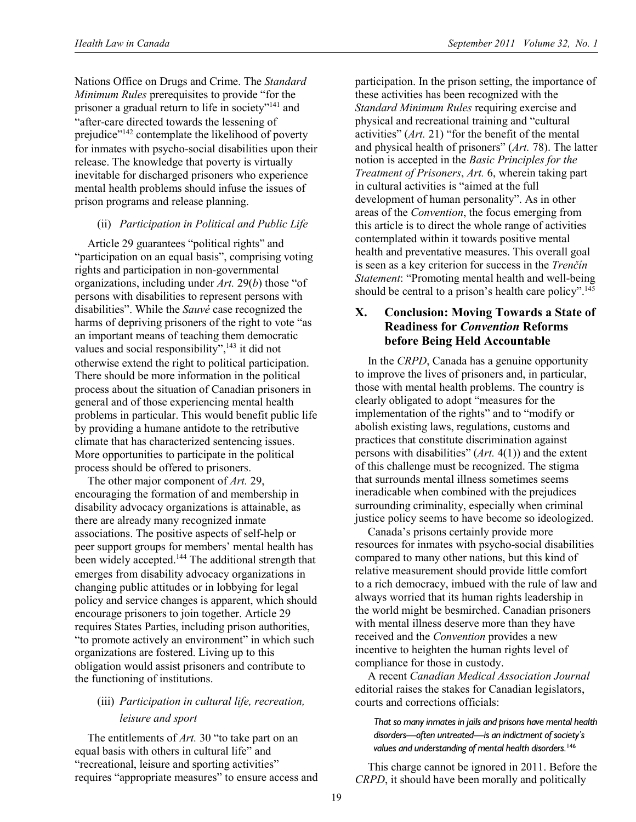Nations Office on Drugs and Crime. The *Standard Minimum Rules* prerequisites to provide "for the prisoner a gradual return to life in society"141 and "after-care directed towards the lessening of prejudice"<sup>142</sup> contemplate the likelihood of poverty for inmates with psycho-social disabilities upon their release. The knowledge that poverty is virtually inevitable for discharged prisoners who experience mental health problems should infuse the issues of prison programs and release planning.

### (ii) *Participation in Political and Public Life*

Article 29 guarantees "political rights" and "participation on an equal basis", comprising voting rights and participation in non-governmental organizations, including under *Art.* 29(*b*) those "of persons with disabilities to represent persons with disabilities". While the *Sauvé* case recognized the harms of depriving prisoners of the right to vote "as an important means of teaching them democratic values and social responsibility", $\frac{143}{143}$  it did not otherwise extend the right to political participation. There should be more information in the political process about the situation of Canadian prisoners in general and of those experiencing mental health problems in particular. This would benefit public life by providing a humane antidote to the retributive climate that has characterized sentencing issues. More opportunities to participate in the political process should be offered to prisoners.

The other major component of *Art.* 29, encouraging the formation of and membership in disability advocacy organizations is attainable, as there are already many recognized inmate associations. The positive aspects of self-help or peer support groups for members' mental health has been widely accepted.<sup>144</sup> The additional strength that emerges from disability advocacy organizations in changing public attitudes or in lobbying for legal policy and service changes is apparent, which should encourage prisoners to join together. Article 29 requires States Parties, including prison authorities, "to promote actively an environment" in which such organizations are fostered. Living up to this obligation would assist prisoners and contribute to the functioning of institutions.

# (iii) *Participation in cultural life, recreation, leisure and sport*

The entitlements of *Art.* 30 "to take part on an equal basis with others in cultural life" and "recreational, leisure and sporting activities" requires "appropriate measures" to ensure access and participation. In the prison setting, the importance of these activities has been recognized with the *Standard Minimum Rules* requiring exercise and physical and recreational training and "cultural activities" (*Art.* 21) "for the benefit of the mental and physical health of prisoners" (*Art.* 78). The latter notion is accepted in the *Basic Principles for the Treatment of Prisoners*, *Art.* 6, wherein taking part in cultural activities is "aimed at the full development of human personality". As in other areas of the *Convention*, the focus emerging from this article is to direct the whole range of activities contemplated within it towards positive mental health and preventative measures. This overall goal is seen as a key criterion for success in the *Trenčín Statement*: "Promoting mental health and well-being should be central to a prison's health care policy".<sup>145</sup>

# **X. Conclusion: Moving Towards a State of Readiness for** *Convention* **Reforms before Being Held Accountable**

In the *CRPD*, Canada has a genuine opportunity to improve the lives of prisoners and, in particular, those with mental health problems. The country is clearly obligated to adopt "measures for the implementation of the rights" and to "modify or abolish existing laws, regulations, customs and practices that constitute discrimination against persons with disabilities" (*Art.* 4(1)) and the extent of this challenge must be recognized. The stigma that surrounds mental illness sometimes seems ineradicable when combined with the prejudices surrounding criminality, especially when criminal justice policy seems to have become so ideologized.

Canada's prisons certainly provide more resources for inmates with psycho-social disabilities compared to many other nations, but this kind of relative measurement should provide little comfort to a rich democracy, imbued with the rule of law and always worried that its human rights leadership in the world might be besmirched. Canadian prisoners with mental illness deserve more than they have received and the *Convention* provides a new incentive to heighten the human rights level of compliance for those in custody.

A recent *Canadian Medical Association Journal* editorial raises the stakes for Canadian legislators, courts and corrections officials:

*That so many inmates in jails and prisons have mental health disorders—often untreated—is an indictment of society's values and understanding of mental health disorders.*<sup>146</sup>

This charge cannot be ignored in 2011. Before the *CRPD*, it should have been morally and politically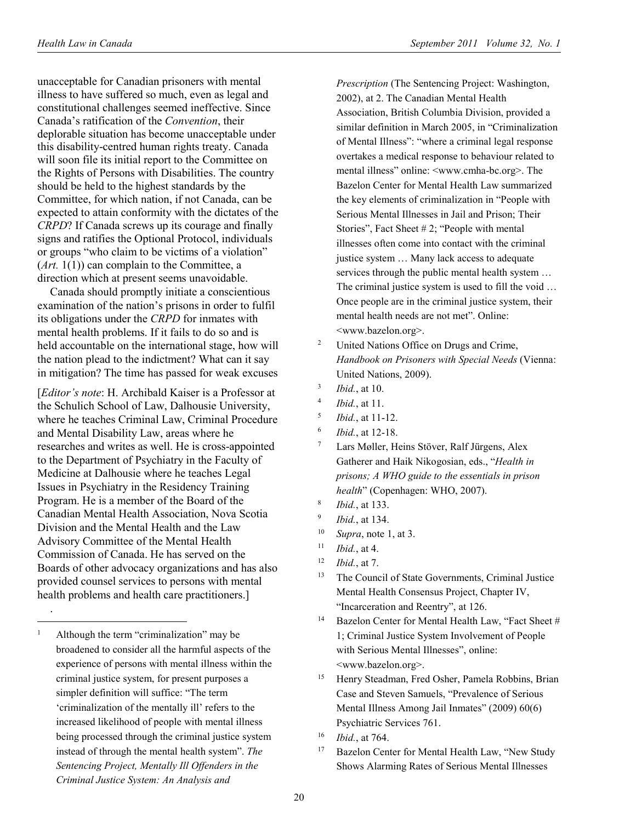unacceptable for Canadian prisoners with mental illness to have suffered so much, even as legal and constitutional challenges seemed ineffective. Since Canada's ratification of the *Convention*, their deplorable situation has become unacceptable under this disability-centred human rights treaty. Canada will soon file its initial report to the Committee on the Rights of Persons with Disabilities. The country should be held to the highest standards by the Committee, for which nation, if not Canada, can be expected to attain conformity with the dictates of the *CRPD*? If Canada screws up its courage and finally signs and ratifies the Optional Protocol, individuals or groups "who claim to be victims of a violation"  $(Art, 1(1))$  can complain to the Committee, a direction which at present seems unavoidable.

Canada should promptly initiate a conscientious examination of the nation's prisons in order to fulfil its obligations under the *CRPD* for inmates with mental health problems. If it fails to do so and is held accountable on the international stage, how will the nation plead to the indictment? What can it say in mitigation? The time has passed for weak excuses

[*Editor's note*: H. Archibald Kaiser is a Professor at the Schulich School of Law, Dalhousie University, where he teaches Criminal Law, Criminal Procedure and Mental Disability Law, areas where he researches and writes as well. He is cross-appointed to the Department of Psychiatry in the Faculty of Medicine at Dalhousie where he teaches Legal Issues in Psychiatry in the Residency Training Program. He is a member of the Board of the Canadian Mental Health Association, Nova Scotia Division and the Mental Health and the Law Advisory Committee of the Mental Health Commission of Canada. He has served on the Boards of other advocacy organizations and has also provided counsel services to persons with mental health problems and health care practitioners.]

. -

*Prescription* (The Sentencing Project: Washington, 2002), at 2. The Canadian Mental Health Association, British Columbia Division, provided a similar definition in March 2005, in "Criminalization of Mental Illness": "where a criminal legal response overtakes a medical response to behaviour related to mental illness" online: <www.cmha-bc.org>. The Bazelon Center for Mental Health Law summarized the key elements of criminalization in "People with Serious Mental Illnesses in Jail and Prison; Their Stories", Fact Sheet # 2; "People with mental illnesses often come into contact with the criminal justice system … Many lack access to adequate services through the public mental health system … The criminal justice system is used to fill the void … Once people are in the criminal justice system, their mental health needs are not met". Online: <www.bazelon.org>.

- 2 United Nations Office on Drugs and Crime, *Handbook on Prisoners with Special Needs* (Vienna: United Nations, 2009).
- 3 *Ibid.*, at 10.
- 4 *Ibid.*, at 11.
- 5 *Ibid.*, at 11-12.
- <sup>6</sup> *Ibid.*, at 12-18.
- 7 Lars Møller, Heins Stöver, Ralf Jürgens, Alex Gatherer and Haik Nikogosian, eds., "*Health in prisons; A WHO guide to the essentials in prison health*" (Copenhagen: WHO, 2007).
- 8 *Ibid.*, at 133.
- 9 *Ibid.*, at 134.
- 10 *Supra*, note 1, at 3.
- 11 *Ibid.*, at 4.
- 12 *Ibid.*, at 7.
- <sup>13</sup> The Council of State Governments, Criminal Justice Mental Health Consensus Project, Chapter IV, "Incarceration and Reentry", at 126.
- <sup>14</sup> Bazelon Center for Mental Health Law, "Fact Sheet # 1; Criminal Justice System Involvement of People with Serious Mental Illnesses", online: <www.bazelon.org>.
- 15 Henry Steadman, Fred Osher, Pamela Robbins, Brian Case and Steven Samuels, "Prevalence of Serious Mental Illness Among Jail Inmates" (2009) 60(6) Psychiatric Services 761.
- 16 *Ibid.*, at 764.
- <sup>17</sup> Bazelon Center for Mental Health Law, "New Study Shows Alarming Rates of Serious Mental Illnesses

<sup>1</sup> Although the term "criminalization" may be broadened to consider all the harmful aspects of the experience of persons with mental illness within the criminal justice system, for present purposes a simpler definition will suffice: "The term 'criminalization of the mentally ill' refers to the increased likelihood of people with mental illness being processed through the criminal justice system instead of through the mental health system". *The Sentencing Project, Mentally Ill Offenders in the Criminal Justice System: An Analysis and*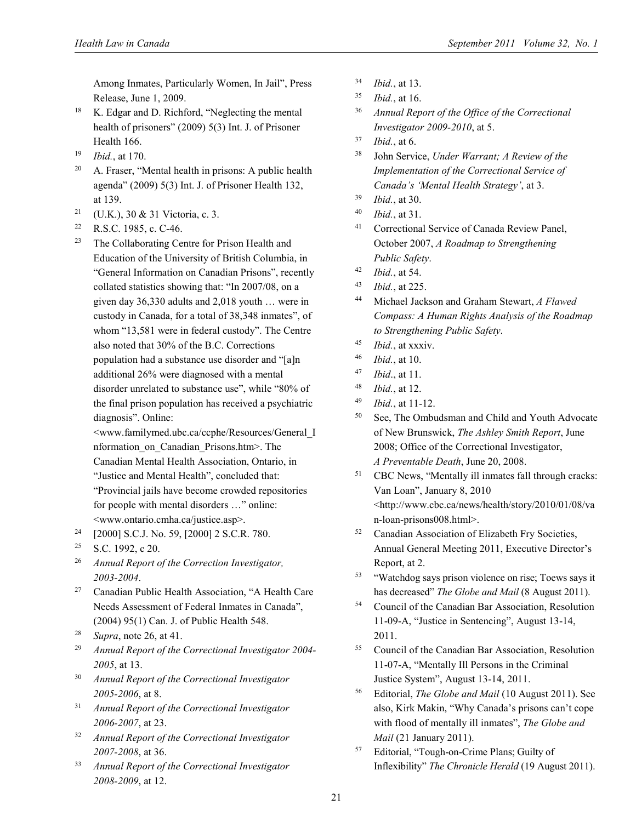Among Inmates, Particularly Women, In Jail", Press Release, June 1, 2009.

- 18 K. Edgar and D. Richford, "Neglecting the mental health of prisoners" (2009) 5(3) Int. J. of Prisoner Health 166.
- 19 *Ibid.*, at 170.
- $20$  A. Fraser, "Mental health in prisons: A public health agenda" (2009) 5(3) Int. J. of Prisoner Health 132, at 139.
- <sup>21</sup> (U.K.), 30 & 31 Victoria, c. 3.
- 22 R.S.C. 1985, c. C-46.
- <sup>23</sup> The Collaborating Centre for Prison Health and Education of the University of British Columbia, in "General Information on Canadian Prisons", recently collated statistics showing that: "In 2007/08, on a given day 36,330 adults and 2,018 youth … were in custody in Canada, for a total of 38,348 inmates", of whom "13,581 were in federal custody". The Centre also noted that 30% of the B.C. Corrections population had a substance use disorder and "[a]n additional 26% were diagnosed with a mental disorder unrelated to substance use", while "80% of the final prison population has received a psychiatric diagnosis". Online:

<www.familymed.ubc.ca/ccphe/Resources/General\_I nformation\_on\_Canadian\_Prisons.htm>. The Canadian Mental Health Association, Ontario, in "Justice and Mental Health", concluded that: "Provincial jails have become crowded repositories for people with mental disorders …" online: <www.ontario.cmha.ca/justice.asp>.

- 24 [2000] S.C.J. No. 59, [2000] 2 S.C.R. 780.
- $25$  S.C. 1992, c 20.
- 26 *Annual Report of the Correction Investigator, 2003-2004*.
- 27 Canadian Public Health Association, "A Health Care Needs Assessment of Federal Inmates in Canada", (2004) 95(1) Can. J. of Public Health 548.
- 28 *Supra*, note 26, at 41.
- 29 *Annual Report of the Correctional Investigator 2004- 2005*, at 13.
- 30 *Annual Report of the Correctional Investigator 2005-2006*, at 8.
- 31 *Annual Report of the Correctional Investigator 2006-2007*, at 23.
- 32 *Annual Report of the Correctional Investigator 2007-2008*, at 36.
- 33 *Annual Report of the Correctional Investigator 2008-2009*, at 12.
- 34 *Ibid.*, at 13.
- 35 *Ibid.*, at 16.
- 36 *Annual Report of the Office of the Correctional Investigator 2009-2010*, at 5.
- 37 *Ibid.*, at 6.
- 38 John Service, *Under Warrant; A Review of the Implementation of the Correctional Service of Canada's 'Mental Health Strategy'*, at 3.
- 39 *Ibid.*, at 30.
- 40 *Ibid.*, at 31.
- 41 Correctional Service of Canada Review Panel, October 2007, *A Roadmap to Strengthening Public Safety*.
- 42 *Ibid.*, at 54.
- 43 *Ibid.*, at 225.
- 44 Michael Jackson and Graham Stewart, *A Flawed Compass: A Human Rights Analysis of the Roadmap to Strengthening Public Safety*.
- 45 *Ibid.*, at xxxiv.
- 46 *Ibid.*, at 10.
- 47 *Ibid*., at 11.
- 48 *Ibid.*, at 12.
- 49 *Ibid.*, at 11-12.
- 50 See, The Ombudsman and Child and Youth Advocate of New Brunswick, *The Ashley Smith Report*, June 2008; Office of the Correctional Investigator, *A Preventable Death*, June 20, 2008.
- 51 CBC News, "Mentally ill inmates fall through cracks: Van Loan", January 8, 2010 <http://www.cbc.ca/news/health/story/2010/01/08/va n-loan-prisons008.html>.
- 52 Canadian Association of Elizabeth Fry Societies, Annual General Meeting 2011, Executive Director's Report, at 2.
- 53 "Watchdog says prison violence on rise; Toews says it has decreased" *The Globe and Mail* (8 August 2011).
- 54 Council of the Canadian Bar Association, Resolution 11-09-A, "Justice in Sentencing", August 13-14, 2011.
- 55 Council of the Canadian Bar Association, Resolution 11-07-A, "Mentally Ill Persons in the Criminal Justice System", August 13-14, 2011.
- 56 Editorial, *The Globe and Mail* (10 August 2011). See also, Kirk Makin, "Why Canada's prisons can't cope with flood of mentally ill inmates", *The Globe and Mail* (21 January 2011).
- 57 Editorial, "Tough-on-Crime Plans; Guilty of Inflexibility" *The Chronicle Herald* (19 August 2011).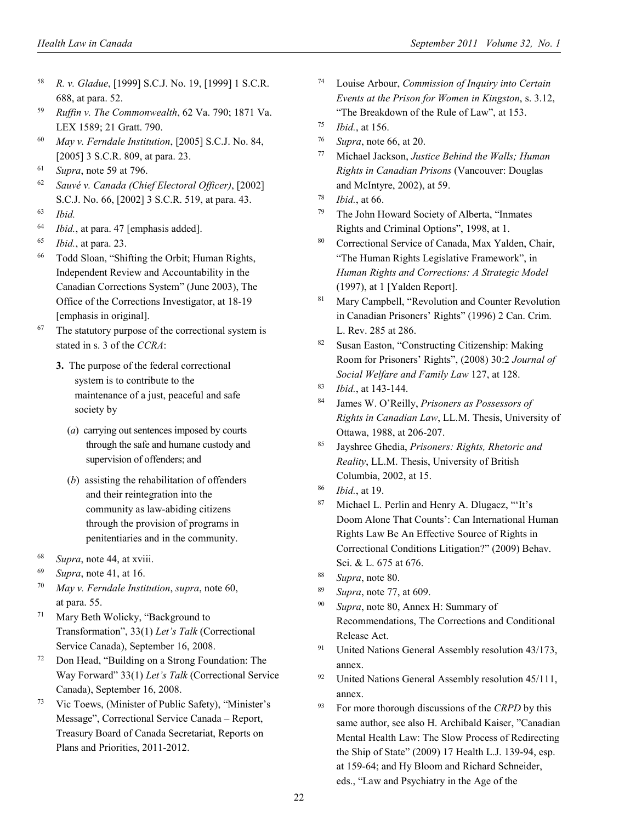- 58 *R. v. Gladue*, [1999] S.C.J. No. 19, [1999] 1 S.C.R. 688, at para. 52.
- 59 *Ruffin v. The Commonwealth*, 62 Va. 790; 1871 Va. LEX 1589; 21 Gratt. 790.
- 60 *May v. Ferndale Institution*, [2005] S.C.J. No. 84, [2005] 3 S.C.R. 809, at para. 23.
- 61 *Supra*, note 59 at 796.
- 62 *Sauvé v. Canada (Chief Electoral Officer)*, [2002] S.C.J. No. 66, [2002] 3 S.C.R. 519, at para. 43.
- 63 *Ibid.*
- 64 *Ibid.*, at para. 47 [emphasis added].
- 65 *Ibid.*, at para. 23.
- 66 Todd Sloan, "Shifting the Orbit; Human Rights, Independent Review and Accountability in the Canadian Corrections System" (June 2003), The Office of the Corrections Investigator, at 18-19 [emphasis in original].
- <sup>67</sup> The statutory purpose of the correctional system is stated in s. 3 of the *CCRA*:
	- **3.** The purpose of the federal correctional system is to contribute to the maintenance of a just, peaceful and safe society by
		- (*a*) carrying out sentences imposed by courts through the safe and humane custody and supervision of offenders; and
		- (*b*) assisting the rehabilitation of offenders and their reintegration into the community as law-abiding citizens through the provision of programs in penitentiaries and in the community.
- 68 *Supra*, note 44, at xviii.
- 69 *Supra*, note 41, at 16.
- 70 *May v. Ferndale Institution*, *supra*, note 60, at para. 55.
- 71 Mary Beth Wolicky, "Background to Transformation", 33(1) *Let's Talk* (Correctional Service Canada), September 16, 2008.
- 72 Don Head, "Building on a Strong Foundation: The Way Forward" 33(1) *Let's Talk* (Correctional Service Canada), September 16, 2008.
- 73 Vic Toews, (Minister of Public Safety), "Minister's Message", Correctional Service Canada – Report, Treasury Board of Canada Secretariat, Reports on Plans and Priorities, 2011-2012.
- Louise Arbour, *Commission of Inquiry into Certain Events at the Prison for Women in Kingston*, s. 3.12, "The Breakdown of the Rule of Law", at 153.
- 75 *Ibid.*, at 156.
- 76 *Supra*, note 66, at 20.
- 77 Michael Jackson, *Justice Behind the Walls; Human Rights in Canadian Prisons* (Vancouver: Douglas and McIntyre, 2002), at 59.
- 78 *Ibid.*, at 66.
- 79 The John Howard Society of Alberta, "Inmates Rights and Criminal Options", 1998, at 1.
- 80 Correctional Service of Canada, Max Yalden, Chair, "The Human Rights Legislative Framework", in *Human Rights and Corrections: A Strategic Model* (1997), at 1 [Yalden Report].
- 81 Mary Campbell, "Revolution and Counter Revolution in Canadian Prisoners' Rights" (1996) 2 Can. Crim. L. Rev. 285 at 286.
- 82 Susan Easton, "Constructing Citizenship: Making Room for Prisoners' Rights", (2008) 30:2 *Journal of Social Welfare and Family Law* 127, at 128.
- 83 *Ibid.*, at 143-144.
- 84 James W. O'Reilly, *Prisoners as Possessors of Rights in Canadian Law*, LL.M. Thesis, University of Ottawa, 1988, at 206-207.
- 85 Jayshree Ghedia, *Prisoners: Rights, Rhetoric and Reality*, LL.M. Thesis, University of British Columbia, 2002, at 15.
- 86 *Ibid.*, at 19.
- 87 Michael L. Perlin and Henry A. Dlugacz, "'It's Doom Alone That Counts': Can International Human Rights Law Be An Effective Source of Rights in Correctional Conditions Litigation?" (2009) Behav. Sci. & L. 675 at 676.
- 88 *Supra*, note 80.
- 89 *Supra*, note 77, at 609.
- 90 *Supra*, note 80, Annex H: Summary of Recommendations, The Corrections and Conditional Release Act.
- <sup>91</sup> United Nations General Assembly resolution 43/173, annex.
- <sup>92</sup> United Nations General Assembly resolution  $45/111$ , annex.
- 93 For more thorough discussions of the *CRPD* by this same author, see also H. Archibald Kaiser, "Canadian Mental Health Law: The Slow Process of Redirecting the Ship of State" (2009) 17 Health L.J. 139-94, esp. at 159-64; and Hy Bloom and Richard Schneider, eds., "Law and Psychiatry in the Age of the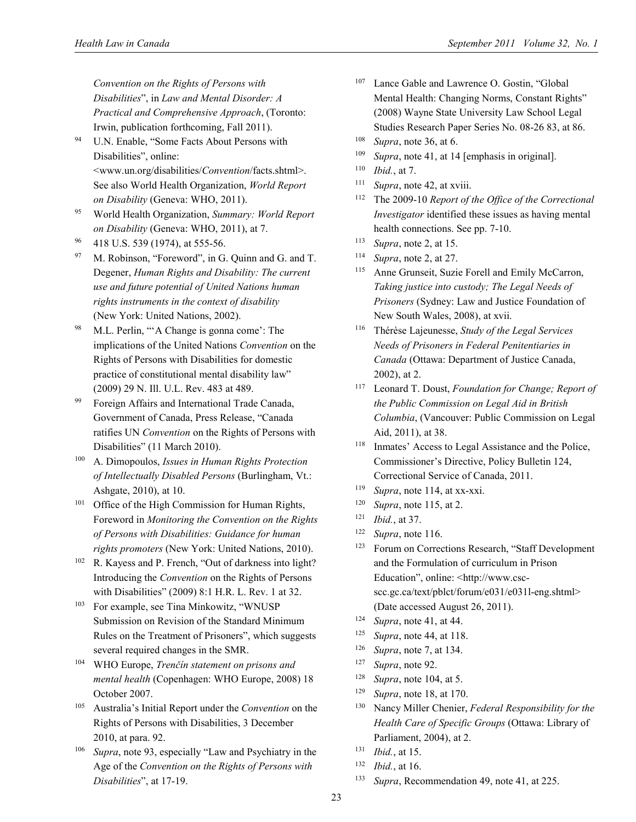*Convention on the Rights of Persons with Disabilities*", in *Law and Mental Disorder: A Practical and Comprehensive Approach*, (Toronto: Irwin, publication forthcoming, Fall 2011).

94 U.N. Enable, "Some Facts About Persons with Disabilities", online:

<www.un.org/disabilities/*Convention*/facts.shtml>. See also World Health Organization, *World Report on Disability* (Geneva: WHO, 2011).

- 95 World Health Organization, *Summary: World Report on Disability* (Geneva: WHO, 2011), at 7.
- 96 418 U.S. 539 (1974), at 555-56.
- 97 M. Robinson, "Foreword", in G. Quinn and G. and T. Degener, *Human Rights and Disability: The current use and future potential of United Nations human rights instruments in the context of disability*  (New York: United Nations, 2002).
- 98 M.L. Perlin, "'A Change is gonna come': The implications of the United Nations *Convention* on the Rights of Persons with Disabilities for domestic practice of constitutional mental disability law" (2009) 29 N. Ill. U.L. Rev. 483 at 489.
- 99 Foreign Affairs and International Trade Canada, Government of Canada, Press Release, "Canada ratifies UN *Convention* on the Rights of Persons with Disabilities" (11 March 2010).
- 100 A. Dimopoulos, *Issues in Human Rights Protection of Intellectually Disabled Persons* (Burlingham, Vt.: Ashgate, 2010), at 10.
- <sup>101</sup> Office of the High Commission for Human Rights, Foreword in *Monitoring the Convention on the Rights of Persons with Disabilities: Guidance for human rights promoters* (New York: United Nations, 2010).
- 102 R. Kayess and P. French, "Out of darkness into light? Introducing the *Convention* on the Rights of Persons with Disabilities" (2009) 8:1 H.R. L. Rev. 1 at 32.
- 103 For example, see Tina Minkowitz, "WNUSP Submission on Revision of the Standard Minimum Rules on the Treatment of Prisoners", which suggests several required changes in the SMR.
- 104 WHO Europe, *Trenčín statement on prisons and mental health* (Copenhagen: WHO Europe, 2008) 18 October 2007.
- 105 Australia's Initial Report under the *Convention* on the Rights of Persons with Disabilities, 3 December 2010, at para. 92.
- 106 *Supra*, note 93, especially "Law and Psychiatry in the Age of the *Convention on the Rights of Persons with Disabilities*", at 17-19.
- Lance Gable and Lawrence O. Gostin, "Global Mental Health: Changing Norms, Constant Rights" (2008) Wayne State University Law School Legal Studies Research Paper Series No. 08-26 83, at 86.
- 108 *Supra*, note 36, at 6.
- 109 *Supra*, note 41, at 14 [emphasis in original].
- 110 *Ibid.*, at 7.
- 111 *Supra*, note 42, at xviii.
- 112 The 2009-10 *Report of the Office of the Correctional Investigator* identified these issues as having mental health connections. See pp. 7-10.
- 113 *Supra*, note 2, at 15.
- 114 *Supra*, note 2, at 27.
- 115 Anne Grunseit, Suzie Forell and Emily McCarron, *Taking justice into custody; The Legal Needs of Prisoners* (Sydney: Law and Justice Foundation of New South Wales, 2008), at xvii.
- 116 Thérèse Lajeunesse, *Study of the Legal Services Needs of Prisoners in Federal Penitentiaries in Canada* (Ottawa: Department of Justice Canada, 2002), at 2.
- 117 Leonard T. Doust, *Foundation for Change; Report of the Public Commission on Legal Aid in British Columbia*, (Vancouver: Public Commission on Legal Aid, 2011), at 38.
- 118 Inmates' Access to Legal Assistance and the Police, Commissioner's Directive, Policy Bulletin 124, Correctional Service of Canada, 2011.
- 119 *Supra*, note 114, at xx-xxi.
- 120 *Supra*, note 115, at 2.
- 121 *Ibid.*, at 37.
- 122 *Supra*, note 116.
- 123 Forum on Corrections Research, "Staff Development and the Formulation of curriculum in Prison Education", online: <http://www.cscscc.gc.ca/text/pblct/forum/e031/e031l-eng.shtml> (Date accessed August 26, 2011).
- 124 *Supra*, note 41, at 44.
- 125 *Supra*, note 44, at 118.
- 126 *Supra*, note 7, at 134.
- 127 *Supra*, note 92.
- 128 *Supra*, note 104, at 5.
- 129 *Supra*, note 18, at 170.
- 130 Nancy Miller Chenier, *Federal Responsibility for the Health Care of Specific Groups* (Ottawa: Library of Parliament, 2004), at 2.
- 131 *Ibid.*, at 15.
- 132 *Ibid.*, at 16.
- 133 *Supra*, Recommendation 49, note 41, at 225.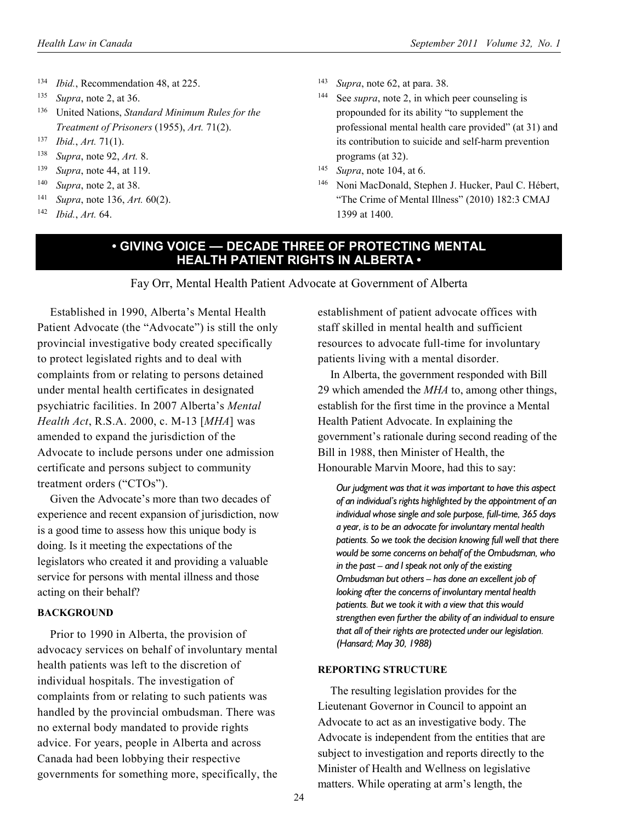- 134 *Ibid.*, Recommendation 48, at 225.
- 135 *Supra*, note 2, at 36.
- 136 United Nations, *Standard Minimum Rules for the Treatment of Prisoners* (1955), *Art.* 71(2).
- 137 *Ibid.*, *Art.* 71(1).
- 138 *Supra*, note 92, *Art.* 8.
- 139 *Supra*, note 44, at 119.
- 140 *Supra*, note 2, at 38.
- 141 *Supra*, note 136, *Art.* 60(2).
- 142 *Ibid.*, *Art.* 64.
- 143 *Supra*, note 62, at para. 38.
- 144 See *supra*, note 2, in which peer counseling is propounded for its ability "to supplement the professional mental health care provided" (at 31) and its contribution to suicide and self-harm prevention programs (at 32).
- 145 *Supra*, note 104, at 6.
- 146 Noni MacDonald, Stephen J. Hucker, Paul C. Hébert, "The Crime of Mental Illness" (2010) 182:3 CMAJ 1399 at 1400.

# **• GIVING VOICE — DECADE THREE OF PROTECTING MENTAL HEALTH PATIENT RIGHTS IN ALBERTA •**

Fay Orr, Mental Health Patient Advocate at Government of Alberta

Established in 1990, Alberta's Mental Health Patient Advocate (the "Advocate") is still the only provincial investigative body created specifically to protect legislated rights and to deal with complaints from or relating to persons detained under mental health certificates in designated psychiatric facilities. In 2007 Alberta's *Mental Health Act*, R.S.A. 2000, c. M-13 [*MHA*] was amended to expand the jurisdiction of the Advocate to include persons under one admission certificate and persons subject to community treatment orders ("CTOs").

Given the Advocate's more than two decades of experience and recent expansion of jurisdiction, now is a good time to assess how this unique body is doing. Is it meeting the expectations of the legislators who created it and providing a valuable service for persons with mental illness and those acting on their behalf?

#### **BACKGROUND**

Prior to 1990 in Alberta, the provision of advocacy services on behalf of involuntary mental health patients was left to the discretion of individual hospitals. The investigation of complaints from or relating to such patients was handled by the provincial ombudsman. There was no external body mandated to provide rights advice. For years, people in Alberta and across Canada had been lobbying their respective governments for something more, specifically, the establishment of patient advocate offices with staff skilled in mental health and sufficient resources to advocate full-time for involuntary patients living with a mental disorder.

In Alberta, the government responded with Bill 29 which amended the *MHA* to, among other things, establish for the first time in the province a Mental Health Patient Advocate. In explaining the government's rationale during second reading of the Bill in 1988, then Minister of Health, the Honourable Marvin Moore, had this to say:

*Our judgment was that it was important to have this aspect of an individual's rights highlighted by the appointment of an individual whose single and sole purpose, full-time, 365 days a year, is to be an advocate for involuntary mental health patients. So we took the decision knowing full well that there would be some concerns on behalf of the Ombudsman, who in the past – and I speak not only of the existing Ombudsman but others – has done an excellent job of looking after the concerns of involuntary mental health patients. But we took it with a view that this would strengthen even further the ability of an individual to ensure that all of their rights are protected under our legislation. (Hansard; May 30, 1988)* 

#### **REPORTING STRUCTURE**

The resulting legislation provides for the Lieutenant Governor in Council to appoint an Advocate to act as an investigative body. The Advocate is independent from the entities that are subject to investigation and reports directly to the Minister of Health and Wellness on legislative matters. While operating at arm's length, the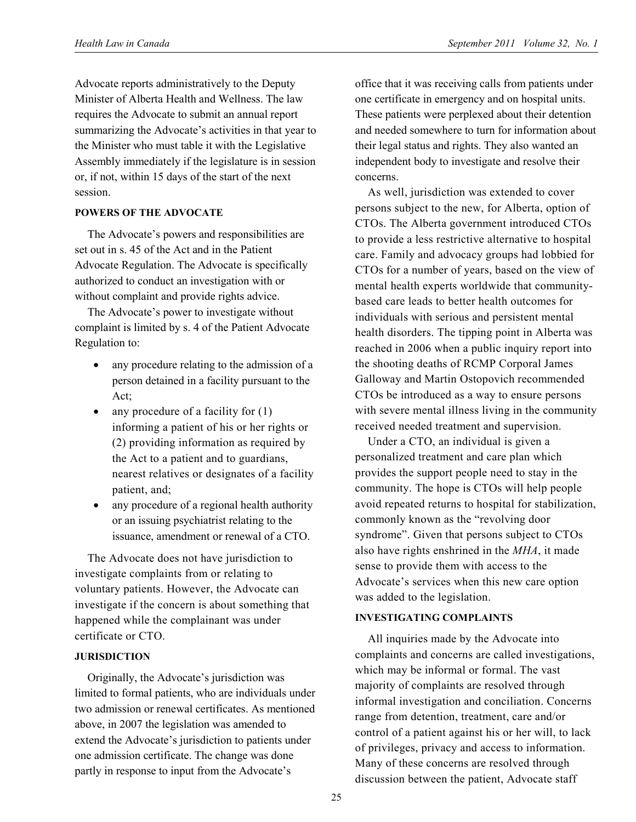Advocate reports administratively to the Deputy Minister of Alberta Health and Wellness. The law requires the Advocate to submit an annual report summarizing the Advocate's activities in that year to the Minister who must table it with the Legislative Assembly immediately if the legislature is in session or, if not, within 15 days of the start of the next session.

#### **POWERS OF THE ADVOCATE**

The Advocate's powers and responsibilities are set out in s. 45 of the Act and in the Patient Advocate Regulation. The Advocate is specifically authorized to conduct an investigation with or without complaint and provide rights advice.

The Advocate's power to investigate without complaint is limited by s. 4 of the Patient Advocate Regulation to:

- any procedure relating to the admission of a person detained in a facility pursuant to the Act;
- any procedure of a facility for (1) informing a patient of his or her rights or (2) providing information as required by the Act to a patient and to guardians, nearest relatives or designates of a facility patient, and;
- any procedure of a regional health authority or an issuing psychiatrist relating to the issuance, amendment or renewal of a CTO.

The Advocate does not have jurisdiction to investigate complaints from or relating to voluntary patients. However, the Advocate can investigate if the concern is about something that happened while the complainant was under certificate or CTO.

### **JURISDICTION**

Originally, the Advocate's jurisdiction was limited to formal patients, who are individuals under two admission or renewal certificates. As mentioned above, in 2007 the legislation was amended to extend the Advocate's jurisdiction to patients under one admission certificate. The change was done partly in response to input from the Advocate's

office that it was receiving calls from patients under one certificate in emergency and on hospital units. These patients were perplexed about their detention and needed somewhere to turn for information about their legal status and rights. They also wanted an independent body to investigate and resolve their concerns.

As well, jurisdiction was extended to cover persons subject to the new, for Alberta, option of CTOs. The Alberta government introduced CTOs to provide a less restrictive alternative to hospital care. Family and advocacy groups had lobbied for CTOs for a number of years, based on the view of mental health experts worldwide that communitybased care leads to better health outcomes for individuals with serious and persistent mental health disorders. The tipping point in Alberta was reached in 2006 when a public inquiry report into the shooting deaths of RCMP Corporal James Galloway and Martin Ostopovich recommended CTOs be introduced as a way to ensure persons with severe mental illness living in the community received needed treatment and supervision.

Under a CTO, an individual is given a personalized treatment and care plan which provides the support people need to stay in the community. The hope is CTOs will help people avoid repeated returns to hospital for stabilization, commonly known as the "revolving door syndrome". Given that persons subject to CTOs also have rights enshrined in the *MHA*, it made sense to provide them with access to the Advocate's services when this new care option was added to the legislation.

### **INVESTIGATING COMPLAINTS**

All inquiries made by the Advocate into complaints and concerns are called investigations, which may be informal or formal. The vast majority of complaints are resolved through informal investigation and conciliation. Concerns range from detention, treatment, care and/or control of a patient against his or her will, to lack of privileges, privacy and access to information. Many of these concerns are resolved through discussion between the patient, Advocate staff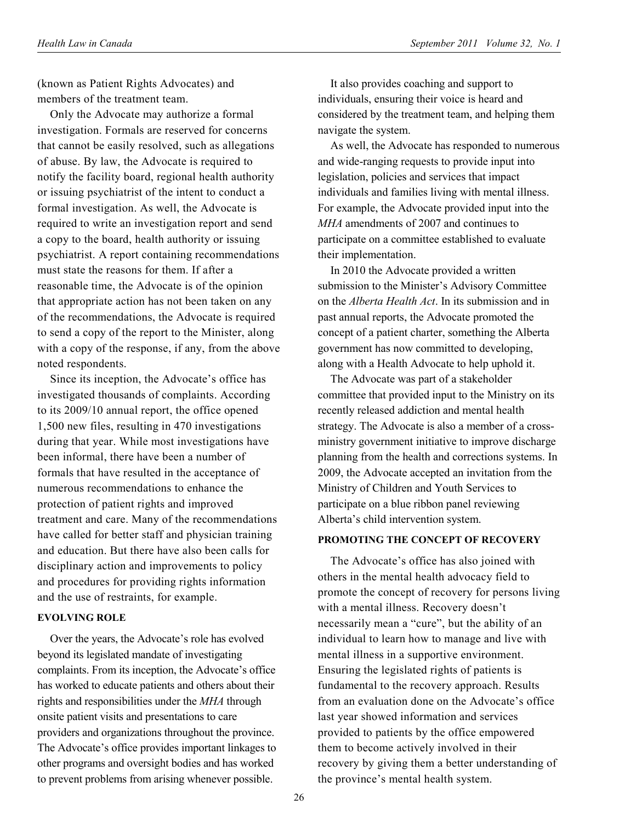(known as Patient Rights Advocates) and members of the treatment team.

Only the Advocate may authorize a formal investigation. Formals are reserved for concerns that cannot be easily resolved, such as allegations of abuse. By law, the Advocate is required to notify the facility board, regional health authority or issuing psychiatrist of the intent to conduct a formal investigation. As well, the Advocate is required to write an investigation report and send a copy to the board, health authority or issuing psychiatrist. A report containing recommendations must state the reasons for them. If after a reasonable time, the Advocate is of the opinion that appropriate action has not been taken on any of the recommendations, the Advocate is required to send a copy of the report to the Minister, along with a copy of the response, if any, from the above noted respondents.

Since its inception, the Advocate's office has investigated thousands of complaints. According to its 2009/10 annual report, the office opened 1,500 new files, resulting in 470 investigations during that year. While most investigations have been informal, there have been a number of formals that have resulted in the acceptance of numerous recommendations to enhance the protection of patient rights and improved treatment and care. Many of the recommendations have called for better staff and physician training and education. But there have also been calls for disciplinary action and improvements to policy and procedures for providing rights information and the use of restraints, for example.

## **EVOLVING ROLE**

Over the years, the Advocate's role has evolved beyond its legislated mandate of investigating complaints. From its inception, the Advocate's office has worked to educate patients and others about their rights and responsibilities under the *MHA* through onsite patient visits and presentations to care providers and organizations throughout the province. The Advocate's office provides important linkages to other programs and oversight bodies and has worked to prevent problems from arising whenever possible.

It also provides coaching and support to individuals, ensuring their voice is heard and considered by the treatment team, and helping them navigate the system.

As well, the Advocate has responded to numerous and wide-ranging requests to provide input into legislation, policies and services that impact individuals and families living with mental illness. For example, the Advocate provided input into the *MHA* amendments of 2007 and continues to participate on a committee established to evaluate their implementation.

In 2010 the Advocate provided a written submission to the Minister's Advisory Committee on the *Alberta Health Act*. In its submission and in past annual reports, the Advocate promoted the concept of a patient charter, something the Alberta government has now committed to developing, along with a Health Advocate to help uphold it.

The Advocate was part of a stakeholder committee that provided input to the Ministry on its recently released addiction and mental health strategy. The Advocate is also a member of a crossministry government initiative to improve discharge planning from the health and corrections systems. In 2009, the Advocate accepted an invitation from the Ministry of Children and Youth Services to participate on a blue ribbon panel reviewing Alberta's child intervention system.

#### **PROMOTING THE CONCEPT OF RECOVERY**

The Advocate's office has also joined with others in the mental health advocacy field to promote the concept of recovery for persons living with a mental illness. Recovery doesn't necessarily mean a "cure", but the ability of an individual to learn how to manage and live with mental illness in a supportive environment. Ensuring the legislated rights of patients is fundamental to the recovery approach. Results from an evaluation done on the Advocate's office last year showed information and services provided to patients by the office empowered them to become actively involved in their recovery by giving them a better understanding of the province's mental health system.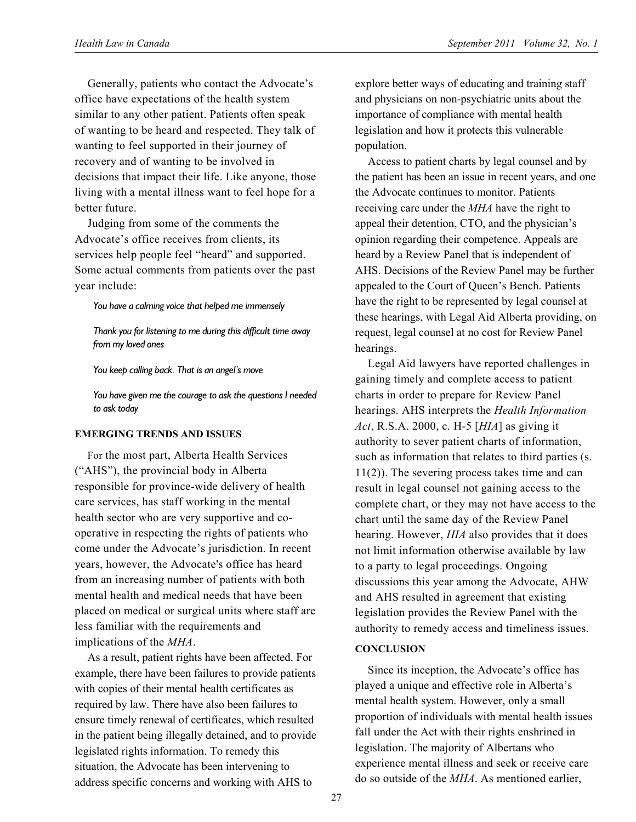Generally, patients who contact the Advocate's office have expectations of the health system similar to any other patient. Patients often speak of wanting to be heard and respected. They talk of wanting to feel supported in their journey of recovery and of wanting to be involved in decisions that impact their life. Like anyone, those living with a mental illness want to feel hope for a better future.

Judging from some of the comments the Advocate's office receives from clients, its services help people feel "heard" and supported. Some actual comments from patients over the past year include:

*You have a calming voice that helped me immensely* 

*Thank you for listening to me during this difficult time away from my loved ones* 

*You keep calling back. That is an angel's move* 

*You have given me the courage to ask the questions I needed to ask today* 

#### **EMERGING TRENDS AND ISSUES**

For the most part, Alberta Health Services ("AHS"), the provincial body in Alberta responsible for province-wide delivery of health care services, has staff working in the mental health sector who are very supportive and cooperative in respecting the rights of patients who come under the Advocate's jurisdiction. In recent years, however, the Advocate's office has heard from an increasing number of patients with both mental health and medical needs that have been placed on medical or surgical units where staff are less familiar with the requirements and implications of the *MHA*.

As a result, patient rights have been affected. For example, there have been failures to provide patients with copies of their mental health certificates as required by law. There have also been failures to ensure timely renewal of certificates, which resulted in the patient being illegally detained, and to provide legislated rights information. To remedy this situation, the Advocate has been intervening to address specific concerns and working with AHS to

explore better ways of educating and training staff and physicians on non-psychiatric units about the importance of compliance with mental health legislation and how it protects this vulnerable population.

Access to patient charts by legal counsel and by the patient has been an issue in recent years, and one the Advocate continues to monitor. Patients receiving care under the *MHA* have the right to appeal their detention, CTO, and the physician's opinion regarding their competence. Appeals are heard by a Review Panel that is independent of AHS. Decisions of the Review Panel may be further appealed to the Court of Queen's Bench. Patients have the right to be represented by legal counsel at these hearings, with Legal Aid Alberta providing, on request, legal counsel at no cost for Review Panel hearings.

Legal Aid lawyers have reported challenges in gaining timely and complete access to patient charts in order to prepare for Review Panel hearings. AHS interprets the *Health Information Act*, R.S.A. 2000, c. H-5 [*HIA*] as giving it authority to sever patient charts of information, such as information that relates to third parties (s. 11(2)). The severing process takes time and can result in legal counsel not gaining access to the complete chart, or they may not have access to the chart until the same day of the Review Panel hearing. However, *HIA* also provides that it does not limit information otherwise available by law to a party to legal proceedings. Ongoing discussions this year among the Advocate, AHW and AHS resulted in agreement that existing legislation provides the Review Panel with the authority to remedy access and timeliness issues.

#### **CONCLUSION**

Since its inception, the Advocate's office has played a unique and effective role in Alberta's mental health system. However, only a small proportion of individuals with mental health issues fall under the Act with their rights enshrined in legislation. The majority of Albertans who experience mental illness and seek or receive care do so outside of the *MHA*. As mentioned earlier,